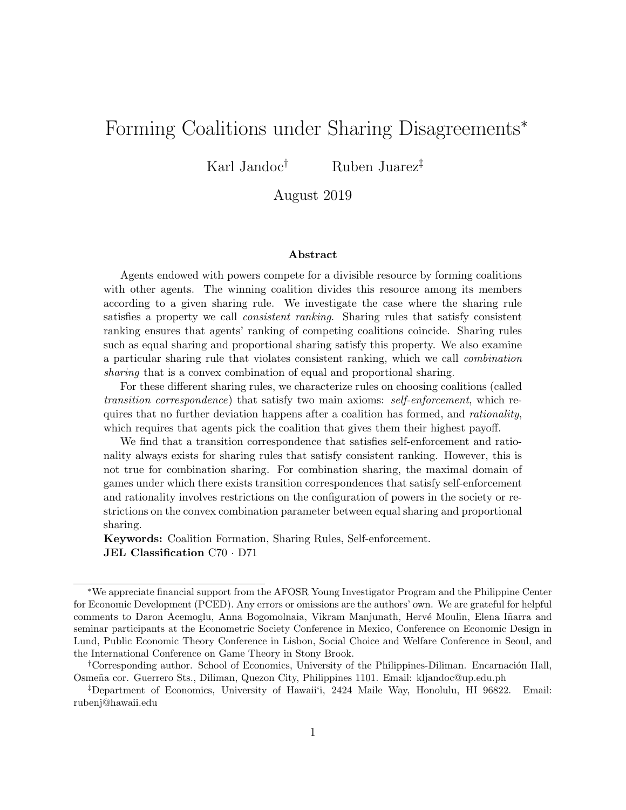# Forming Coalitions under Sharing Disagreements<sup>∗</sup>

Karl Jandoc<sup>†</sup> Ruben Juarez<sup>‡</sup>

### August 2019

#### Abstract

Agents endowed with powers compete for a divisible resource by forming coalitions with other agents. The winning coalition divides this resource among its members according to a given sharing rule. We investigate the case where the sharing rule satisfies a property we call *consistent ranking*. Sharing rules that satisfy consistent ranking ensures that agents' ranking of competing coalitions coincide. Sharing rules such as equal sharing and proportional sharing satisfy this property. We also examine a particular sharing rule that violates consistent ranking, which we call combination sharing that is a convex combination of equal and proportional sharing.

For these different sharing rules, we characterize rules on choosing coalitions (called transition correspondence) that satisfy two main axioms: self-enforcement, which requires that no further deviation happens after a coalition has formed, and *rationality*, which requires that agents pick the coalition that gives them their highest payoff.

We find that a transition correspondence that satisfies self-enforcement and rationality always exists for sharing rules that satisfy consistent ranking. However, this is not true for combination sharing. For combination sharing, the maximal domain of games under which there exists transition correspondences that satisfy self-enforcement and rationality involves restrictions on the configuration of powers in the society or restrictions on the convex combination parameter between equal sharing and proportional sharing.

Keywords: Coalition Formation, Sharing Rules, Self-enforcement. JEL Classification C70 · D71

<sup>∗</sup>We appreciate financial support from the AFOSR Young Investigator Program and the Philippine Center for Economic Development (PCED). Any errors or omissions are the authors' own. We are grateful for helpful comments to Daron Acemoglu, Anna Bogomolnaia, Vikram Manjunath, Hervé Moulin, Elena Iñarra and seminar participants at the Econometric Society Conference in Mexico, Conference on Economic Design in Lund, Public Economic Theory Conference in Lisbon, Social Choice and Welfare Conference in Seoul, and the International Conference on Game Theory in Stony Brook.

<sup>&</sup>lt;sup>†</sup>Corresponding author. School of Economics, University of the Philippines-Diliman. Encarnación Hall, Osme˜na cor. Guerrero Sts., Diliman, Quezon City, Philippines 1101. Email: kljandoc@up.edu.ph

<sup>‡</sup>Department of Economics, University of Hawaii'i, 2424 Maile Way, Honolulu, HI 96822. Email: rubenj@hawaii.edu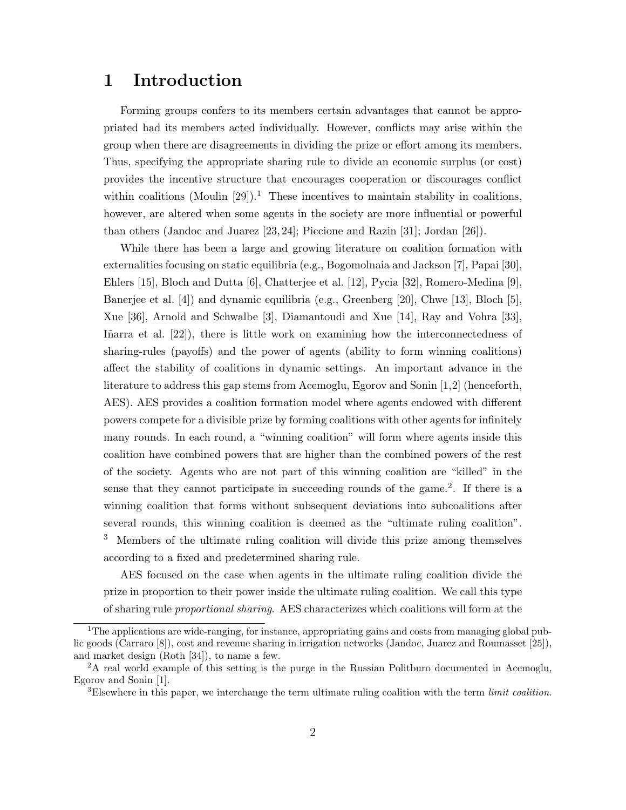# 1 Introduction

Forming groups confers to its members certain advantages that cannot be appropriated had its members acted individually. However, conflicts may arise within the group when there are disagreements in dividing the prize or effort among its members. Thus, specifying the appropriate sharing rule to divide an economic surplus (or cost) provides the incentive structure that encourages cooperation or discourages conflict within coalitions (Moulin [29]).<sup>1</sup> These incentives to maintain stability in coalitions, however, are altered when some agents in the society are more influential or powerful than others (Jandoc and Juarez [23, 24]; Piccione and Razin [31]; Jordan [26]).

While there has been a large and growing literature on coalition formation with externalities focusing on static equilibria (e.g., Bogomolnaia and Jackson [7], Papai [30], Ehlers [15], Bloch and Dutta [6], Chatterjee et al. [12], Pycia [32], Romero-Medina [9], Banerjee et al. [4]) and dynamic equilibria (e.g., Greenberg [20], Chwe [13], Bloch [5], Xue [36], Arnold and Schwalbe [3], Diamantoudi and Xue [14], Ray and Vohra [33], Iñarra et al.  $[22]$ ), there is little work on examining how the interconnectedness of sharing-rules (payoffs) and the power of agents (ability to form winning coalitions) affect the stability of coalitions in dynamic settings. An important advance in the literature to address this gap stems from Acemoglu, Egorov and Sonin [1,2] (henceforth, AES). AES provides a coalition formation model where agents endowed with different powers compete for a divisible prize by forming coalitions with other agents for infinitely many rounds. In each round, a "winning coalition" will form where agents inside this coalition have combined powers that are higher than the combined powers of the rest of the society. Agents who are not part of this winning coalition are "killed" in the sense that they cannot participate in succeeding rounds of the game.<sup>2</sup>. If there is a winning coalition that forms without subsequent deviations into subcoalitions after several rounds, this winning coalition is deemed as the "ultimate ruling coalition". <sup>3</sup> Members of the ultimate ruling coalition will divide this prize among themselves according to a fixed and predetermined sharing rule.

AES focused on the case when agents in the ultimate ruling coalition divide the prize in proportion to their power inside the ultimate ruling coalition. We call this type of sharing rule proportional sharing. AES characterizes which coalitions will form at the

<sup>&</sup>lt;sup>1</sup>The applications are wide-ranging, for instance, appropriating gains and costs from managing global public goods (Carraro [8]), cost and revenue sharing in irrigation networks (Jandoc, Juarez and Roumasset [25]), and market design (Roth [34]), to name a few.

<sup>2</sup>A real world example of this setting is the purge in the Russian Politburo documented in Acemoglu, Egorov and Sonin [1].

 $3E$ lsewhere in this paper, we interchange the term ultimate ruling coalition with the term *limit coalition*.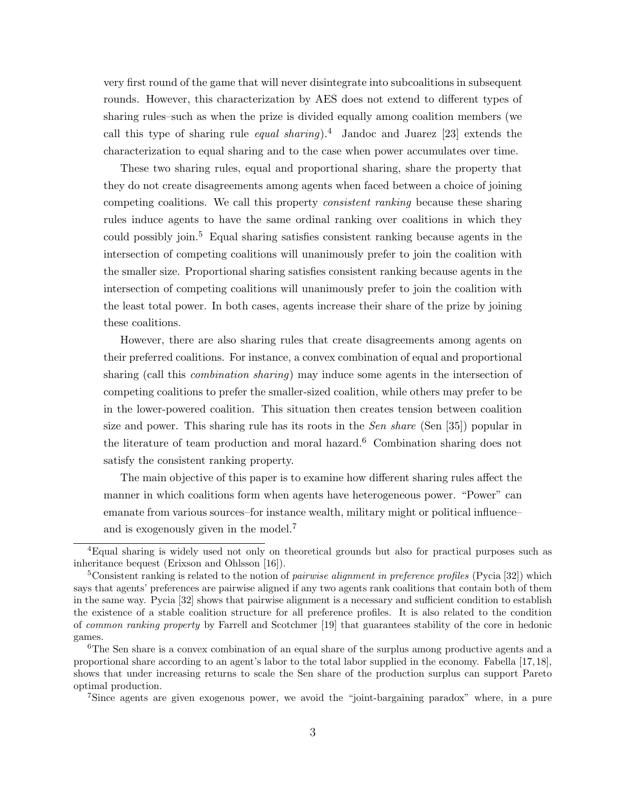very first round of the game that will never disintegrate into subcoalitions in subsequent rounds. However, this characterization by AES does not extend to different types of sharing rules–such as when the prize is divided equally among coalition members (we call this type of sharing rule *equal sharing*).<sup>4</sup> Jandoc and Juarez [23] extends the characterization to equal sharing and to the case when power accumulates over time.

These two sharing rules, equal and proportional sharing, share the property that they do not create disagreements among agents when faced between a choice of joining competing coalitions. We call this property consistent ranking because these sharing rules induce agents to have the same ordinal ranking over coalitions in which they could possibly join.<sup>5</sup> Equal sharing satisfies consistent ranking because agents in the intersection of competing coalitions will unanimously prefer to join the coalition with the smaller size. Proportional sharing satisfies consistent ranking because agents in the intersection of competing coalitions will unanimously prefer to join the coalition with the least total power. In both cases, agents increase their share of the prize by joining these coalitions.

However, there are also sharing rules that create disagreements among agents on their preferred coalitions. For instance, a convex combination of equal and proportional sharing (call this combination sharing) may induce some agents in the intersection of competing coalitions to prefer the smaller-sized coalition, while others may prefer to be in the lower-powered coalition. This situation then creates tension between coalition size and power. This sharing rule has its roots in the *Sen share* (Sen  $[35]$ ) popular in the literature of team production and moral hazard.<sup>6</sup> Combination sharing does not satisfy the consistent ranking property.

The main objective of this paper is to examine how different sharing rules affect the manner in which coalitions form when agents have heterogeneous power. "Power" can emanate from various sources–for instance wealth, military might or political influence– and is exogenously given in the model.<sup>7</sup>

<sup>7</sup>Since agents are given exogenous power, we avoid the "joint-bargaining paradox" where, in a pure

<sup>4</sup>Equal sharing is widely used not only on theoretical grounds but also for practical purposes such as inheritance bequest (Erixson and Ohlsson [16]).

<sup>&</sup>lt;sup>5</sup>Consistent ranking is related to the notion of *pairwise alignment in preference profiles* (Pycia [32]) which says that agents' preferences are pairwise aligned if any two agents rank coalitions that contain both of them in the same way. Pycia [32] shows that pairwise alignment is a necessary and sufficient condition to establish the existence of a stable coalition structure for all preference profiles. It is also related to the condition of common ranking property by Farrell and Scotchmer [19] that guarantees stability of the core in hedonic games.

<sup>&</sup>lt;sup>6</sup>The Sen share is a convex combination of an equal share of the surplus among productive agents and a proportional share according to an agent's labor to the total labor supplied in the economy. Fabella [17, 18], shows that under increasing returns to scale the Sen share of the production surplus can support Pareto optimal production.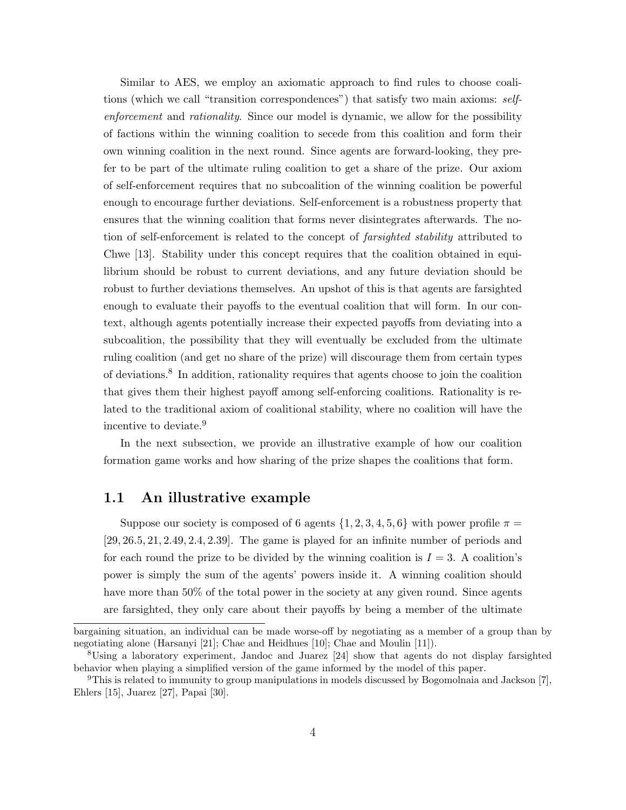Similar to AES, we employ an axiomatic approach to find rules to choose coalitions (which we call "transition correspondences") that satisfy two main axioms: selfenforcement and rationality. Since our model is dynamic, we allow for the possibility of factions within the winning coalition to secede from this coalition and form their own winning coalition in the next round. Since agents are forward-looking, they prefer to be part of the ultimate ruling coalition to get a share of the prize. Our axiom of self-enforcement requires that no subcoalition of the winning coalition be powerful enough to encourage further deviations. Self-enforcement is a robustness property that ensures that the winning coalition that forms never disintegrates afterwards. The notion of self-enforcement is related to the concept of *farsighted stability* attributed to Chwe [13]. Stability under this concept requires that the coalition obtained in equilibrium should be robust to current deviations, and any future deviation should be robust to further deviations themselves. An upshot of this is that agents are farsighted enough to evaluate their payoffs to the eventual coalition that will form. In our context, although agents potentially increase their expected payoffs from deviating into a subcoalition, the possibility that they will eventually be excluded from the ultimate ruling coalition (and get no share of the prize) will discourage them from certain types of deviations.<sup>8</sup> In addition, rationality requires that agents choose to join the coalition that gives them their highest payoff among self-enforcing coalitions. Rationality is related to the traditional axiom of coalitional stability, where no coalition will have the incentive to deviate.<sup>9</sup>

In the next subsection, we provide an illustrative example of how our coalition formation game works and how sharing of the prize shapes the coalitions that form.

### 1.1 An illustrative example

Suppose our society is composed of 6 agents  $\{1, 2, 3, 4, 5, 6\}$  with power profile  $\pi =$ [29, 26.5, 21, 2.49, 2.4, 2.39]. The game is played for an infinite number of periods and for each round the prize to be divided by the winning coalition is  $I = 3$ . A coalition's power is simply the sum of the agents' powers inside it. A winning coalition should have more than 50% of the total power in the society at any given round. Since agents are farsighted, they only care about their payoffs by being a member of the ultimate

bargaining situation, an individual can be made worse-off by negotiating as a member of a group than by negotiating alone (Harsanyi [21]; Chae and Heidhues [10]; Chae and Moulin [11]).

<sup>8</sup>Using a laboratory experiment, Jandoc and Juarez [24] show that agents do not display farsighted behavior when playing a simplified version of the game informed by the model of this paper.

<sup>9</sup>This is related to immunity to group manipulations in models discussed by Bogomolnaia and Jackson [7], Ehlers [15], Juarez [27], Papai [30].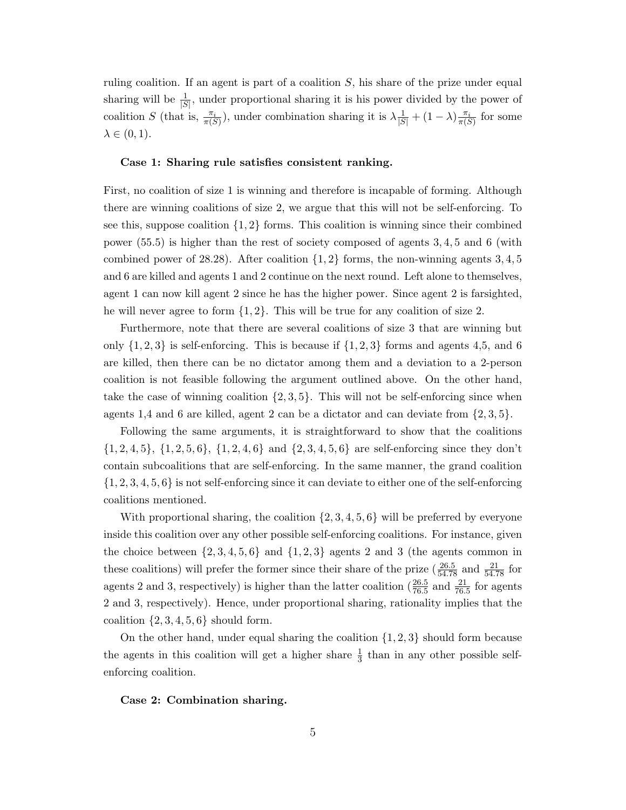ruling coalition. If an agent is part of a coalition S, his share of the prize under equal sharing will be  $\frac{1}{|S|}$ , under proportional sharing it is his power divided by the power of coalition S (that is,  $\frac{\pi_i}{\pi(S)}$ ), under combination sharing it is  $\lambda \frac{1}{|S|} + (1 - \lambda) \frac{\pi_i}{\pi(S)}$  for some  $\lambda \in (0,1)$ .

#### Case 1: Sharing rule satisfies consistent ranking.

First, no coalition of size 1 is winning and therefore is incapable of forming. Although there are winning coalitions of size 2, we argue that this will not be self-enforcing. To see this, suppose coalition  $\{1, 2\}$  forms. This coalition is winning since their combined power (55.5) is higher than the rest of society composed of agents 3, 4, 5 and 6 (with combined power of 28.28). After coalition  $\{1, 2\}$  forms, the non-winning agents 3, 4, 5 and 6 are killed and agents 1 and 2 continue on the next round. Left alone to themselves, agent 1 can now kill agent 2 since he has the higher power. Since agent 2 is farsighted, he will never agree to form  $\{1, 2\}$ . This will be true for any coalition of size 2.

Furthermore, note that there are several coalitions of size 3 that are winning but only  $\{1, 2, 3\}$  is self-enforcing. This is because if  $\{1, 2, 3\}$  forms and agents 4,5, and 6 are killed, then there can be no dictator among them and a deviation to a 2-person coalition is not feasible following the argument outlined above. On the other hand, take the case of winning coalition  $\{2, 3, 5\}$ . This will not be self-enforcing since when agents 1,4 and 6 are killed, agent 2 can be a dictator and can deviate from  $\{2,3,5\}$ .

Following the same arguments, it is straightforward to show that the coalitions  $\{1, 2, 4, 5\}, \{1, 2, 5, 6\}, \{1, 2, 4, 6\}$  and  $\{2, 3, 4, 5, 6\}$  are self-enforcing since they don't contain subcoalitions that are self-enforcing. In the same manner, the grand coalition  $\{1, 2, 3, 4, 5, 6\}$  is not self-enforcing since it can deviate to either one of the self-enforcing coalitions mentioned.

With proportional sharing, the coalition  $\{2, 3, 4, 5, 6\}$  will be preferred by everyone inside this coalition over any other possible self-enforcing coalitions. For instance, given the choice between  $\{2, 3, 4, 5, 6\}$  and  $\{1, 2, 3\}$  agents 2 and 3 (the agents common in these coalitions) will prefer the former since their share of the prize  $(\frac{26.5}{54.78}$  and  $\frac{21}{54.78}$  for agents 2 and 3, respectively) is higher than the latter coalition  $(\frac{26.5}{76.5}$  and  $\frac{21}{76.5}$  for agents 2 and 3, respectively). Hence, under proportional sharing, rationality implies that the coalition  $\{2, 3, 4, 5, 6\}$  should form.

On the other hand, under equal sharing the coalition  $\{1, 2, 3\}$  should form because the agents in this coalition will get a higher share  $\frac{1}{3}$  than in any other possible selfenforcing coalition.

Case 2: Combination sharing.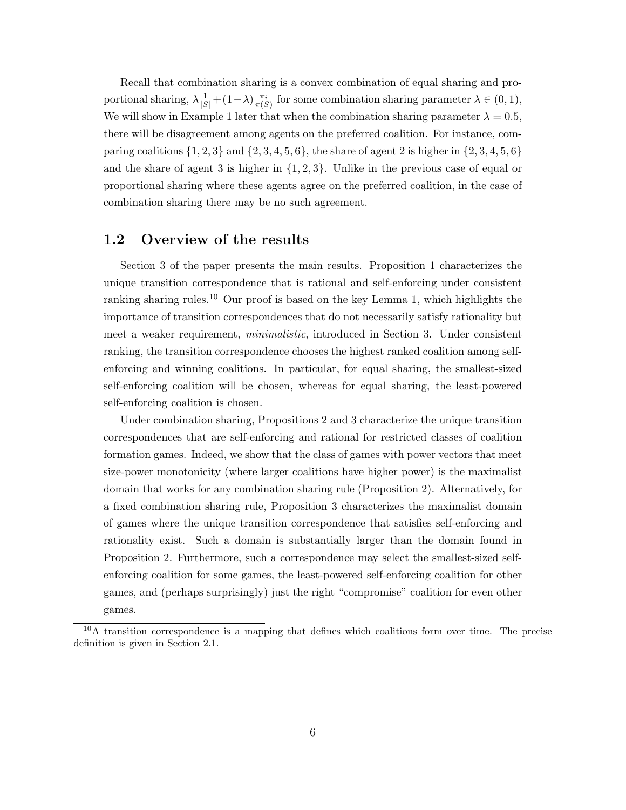Recall that combination sharing is a convex combination of equal sharing and proportional sharing,  $\lambda \frac{1}{|S|} + (1 - \lambda) \frac{\pi_i}{\pi(S)}$  for some combination sharing parameter  $\lambda \in (0, 1)$ , We will show in Example 1 later that when the combination sharing parameter  $\lambda = 0.5$ , there will be disagreement among agents on the preferred coalition. For instance, comparing coalitions  $\{1, 2, 3\}$  and  $\{2, 3, 4, 5, 6\}$ , the share of agent 2 is higher in  $\{2, 3, 4, 5, 6\}$ and the share of agent 3 is higher in  $\{1, 2, 3\}$ . Unlike in the previous case of equal or proportional sharing where these agents agree on the preferred coalition, in the case of combination sharing there may be no such agreement.

### 1.2 Overview of the results

Section 3 of the paper presents the main results. Proposition 1 characterizes the unique transition correspondence that is rational and self-enforcing under consistent ranking sharing rules.<sup>10</sup> Our proof is based on the key Lemma 1, which highlights the importance of transition correspondences that do not necessarily satisfy rationality but meet a weaker requirement, minimalistic, introduced in Section 3. Under consistent ranking, the transition correspondence chooses the highest ranked coalition among selfenforcing and winning coalitions. In particular, for equal sharing, the smallest-sized self-enforcing coalition will be chosen, whereas for equal sharing, the least-powered self-enforcing coalition is chosen.

Under combination sharing, Propositions 2 and 3 characterize the unique transition correspondences that are self-enforcing and rational for restricted classes of coalition formation games. Indeed, we show that the class of games with power vectors that meet size-power monotonicity (where larger coalitions have higher power) is the maximalist domain that works for any combination sharing rule (Proposition 2). Alternatively, for a fixed combination sharing rule, Proposition 3 characterizes the maximalist domain of games where the unique transition correspondence that satisfies self-enforcing and rationality exist. Such a domain is substantially larger than the domain found in Proposition 2. Furthermore, such a correspondence may select the smallest-sized selfenforcing coalition for some games, the least-powered self-enforcing coalition for other games, and (perhaps surprisingly) just the right "compromise" coalition for even other games.

 $10$ A transition correspondence is a mapping that defines which coalitions form over time. The precise definition is given in Section 2.1.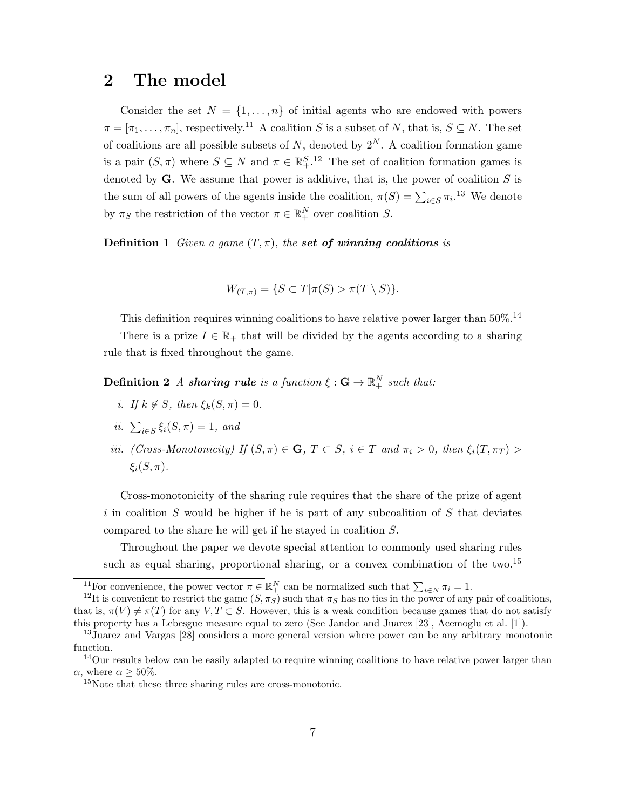# 2 The model

Consider the set  $N = \{1, ..., n\}$  of initial agents who are endowed with powers  $\pi = [\pi_1, \ldots, \pi_n]$ , respectively.<sup>11</sup> A coalition S is a subset of N, that is,  $S \subseteq N$ . The set of coalitions are all possible subsets of  $N$ , denoted by  $2^N$ . A coalition formation game is a pair  $(S,\pi)$  where  $S \subseteq N$  and  $\pi \in \mathbb{R}^{S,12}_+$ . The set of coalition formation games is denoted by **. We assume that power is additive, that is, the power of coalition**  $S$  **is** the sum of all powers of the agents inside the coalition,  $\pi(S) = \sum_{i \in S} \pi_i$ <sup>13</sup>. We denote by  $\pi_S$  the restriction of the vector  $\pi \in \mathbb{R}^N_+$  over coalition S.

**Definition 1** Given a game  $(T, \pi)$ , the set of winning coalitions is

$$
W_{(T,\pi)} = \{ S \subset T | \pi(S) > \pi(T \setminus S) \}.
$$

This definition requires winning coalitions to have relative power larger than  $50\%$ .<sup>14</sup>

There is a prize  $I \in \mathbb{R}_+$  that will be divided by the agents according to a sharing rule that is fixed throughout the game.

 $\textbf{Definition 2} \ \textit{A sharing rule is a function} \ \xi: \textbf{G} \rightarrow \mathbb{R}^N_+ \ \textit{such that:}$ 

- i. If  $k \notin S$ , then  $\xi_k(S, \pi) = 0$ .
- ii.  $\sum_{i \in S} \xi_i(S, \pi) = 1$ , and
- iii. (Cross-Monotonicity) If  $(S,\pi) \in \mathbf{G}, T \subset S$ ,  $i \in T$  and  $\pi_i > 0$ , then  $\xi_i(T,\pi_T) >$  $\xi_i(S,\pi)$ .

Cross-monotonicity of the sharing rule requires that the share of the prize of agent i in coalition S would be higher if he is part of any subcoalition of S that deviates compared to the share he will get if he stayed in coalition S.

Throughout the paper we devote special attention to commonly used sharing rules such as equal sharing, proportional sharing, or a convex combination of the two.<sup>15</sup>

<sup>&</sup>lt;sup>11</sup>For convenience, the power vector  $\pi \in \mathbb{R}^N_+$  can be normalized such that  $\sum_{i \in N} \pi_i = 1$ .

<sup>&</sup>lt;sup>12</sup>It is convenient to restrict the game  $(S, \pi_S)$  such that  $\pi_S$  has no ties in the power of any pair of coalitions, that is,  $\pi(V) \neq \pi(T)$  for any  $V, T \subset S$ . However, this is a weak condition because games that do not satisfy this property has a Lebesgue measure equal to zero (See Jandoc and Juarez [23], Acemoglu et al. [1]).

<sup>13</sup>Juarez and Vargas [28] considers a more general version where power can be any arbitrary monotonic function.

<sup>&</sup>lt;sup>14</sup>Our results below can be easily adapted to require winning coalitions to have relative power larger than  $\alpha$ , where  $\alpha > 50\%$ .

<sup>&</sup>lt;sup>15</sup>Note that these three sharing rules are cross-monotonic.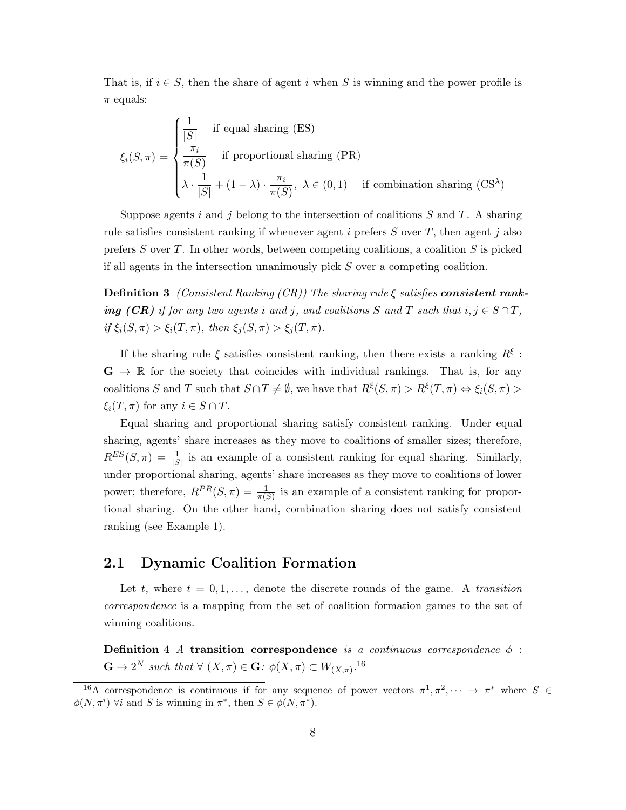That is, if  $i \in S$ , then the share of agent i when S is winning and the power profile is  $\pi$  equals:

$$
\xi_i(S,\pi) = \begin{cases}\n\frac{1}{|S|} & \text{if equal sharing (ES)} \\
\frac{\pi_i}{\pi(S)} & \text{if proportional sharing (PR)} \\
\lambda \cdot \frac{1}{|S|} + (1-\lambda) \cdot \frac{\pi_i}{\pi(S)}, \ \lambda \in (0,1) & \text{if combination sharing (CS}^{\lambda})\n\end{cases}
$$

Suppose agents i and j belong to the intersection of coalitions  $S$  and  $T$ . A sharing rule satisfies consistent ranking if whenever agent i prefers  $S$  over  $T$ , then agent j also prefers S over T. In other words, between competing coalitions, a coalition  $S$  is picked if all agents in the intersection unanimously pick  $S$  over a competing coalition.

**Definition 3** (Consistent Ranking (CR)) The sharing rule  $\xi$  satisfies **consistent rank**ing (CR) if for any two agents i and j, and coalitions S and T such that  $i, j \in S \cap T$ , if  $\xi_i(S,\pi) > \xi_i(T,\pi)$ , then  $\xi_j(S,\pi) > \xi_j(T,\pi)$ .

If the sharing rule  $\xi$  satisfies consistent ranking, then there exists a ranking  $R^{\xi}$ :  $\mathbf{G} \to \mathbb{R}$  for the society that coincides with individual rankings. That is, for any coalitions S and T such that  $S \cap T \neq \emptyset$ , we have that  $R^{\xi}(S,\pi) > R^{\xi}(T,\pi) \Leftrightarrow \xi_i(S,\pi) >$  $\xi_i(T, \pi)$  for any  $i \in S \cap T$ .

Equal sharing and proportional sharing satisfy consistent ranking. Under equal sharing, agents' share increases as they move to coalitions of smaller sizes; therefore,  $R^{ES}(S,\pi) = \frac{1}{|S|}$  is an example of a consistent ranking for equal sharing. Similarly, under proportional sharing, agents' share increases as they move to coalitions of lower power; therefore,  $R^{PR}(S,\pi) = \frac{1}{\pi(S)}$  is an example of a consistent ranking for proportional sharing. On the other hand, combination sharing does not satisfy consistent ranking (see Example 1).

### 2.1 Dynamic Coalition Formation

Let t, where  $t = 0, 1, \ldots$ , denote the discrete rounds of the game. A transition correspondence is a mapping from the set of coalition formation games to the set of winning coalitions.

Definition 4 A transition correspondence is a continuous correspondence  $\phi$ :  $\mathbf{G} \to 2^N$  such that  $\forall (X,\pi) \in \mathbf{G}: \phi(X,\pi) \subset W_{(X,\pi)}$ .<sup>16</sup>

<sup>&</sup>lt;sup>16</sup>A correspondence is continuous if for any sequence of power vectors  $\pi^1, \pi^2, \dots \to \pi^*$  where  $S \in$  $\phi(N, \pi^i)$   $\forall i$  and S is winning in  $\pi^*$ , then  $S \in \phi(N, \pi^*)$ .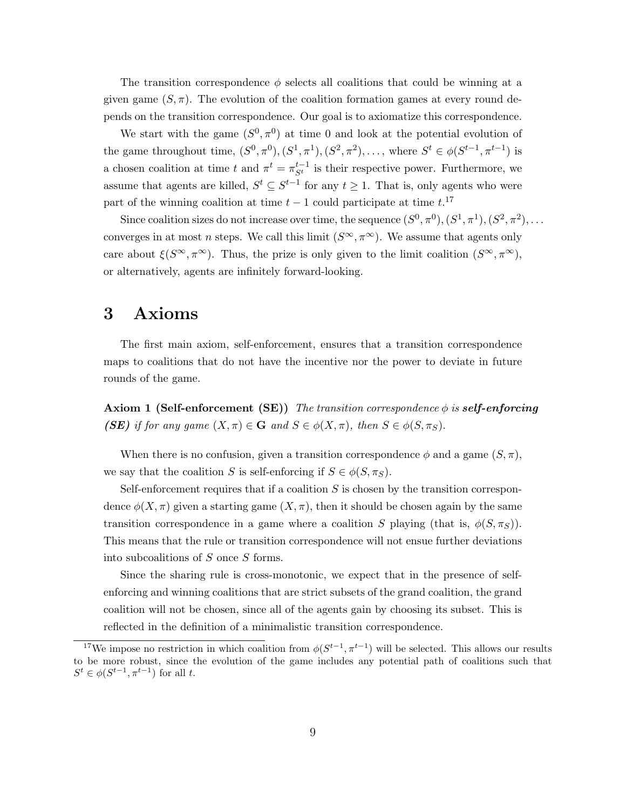The transition correspondence  $\phi$  selects all coalitions that could be winning at a given game  $(S, \pi)$ . The evolution of the coalition formation games at every round depends on the transition correspondence. Our goal is to axiomatize this correspondence.

We start with the game  $(S^0, \pi^0)$  at time 0 and look at the potential evolution of the game throughout time,  $(S^0, \pi^0), (S^1, \pi^1), (S^2, \pi^2), \ldots$ , where  $S^t \in \phi(S^{t-1}, \pi^{t-1})$  is a chosen coalition at time t and  $\pi^t = \pi_{S^t}^{t-1}$  is their respective power. Furthermore, we assume that agents are killed,  $S^t \subseteq S^{t-1}$  for any  $t \geq 1$ . That is, only agents who were part of the winning coalition at time  $t-1$  could participate at time  $t$ <sup>17</sup>

Since coalition sizes do not increase over time, the sequence  $(S^0, \pi^0), (S^1, \pi^1), (S^2, \pi^2), \ldots$ converges in at most *n* steps. We call this limit  $(S^{\infty}, \pi^{\infty})$ . We assume that agents only care about  $\xi(S^{\infty}, \pi^{\infty})$ . Thus, the prize is only given to the limit coalition  $(S^{\infty}, \pi^{\infty})$ , or alternatively, agents are infinitely forward-looking.

# 3 Axioms

The first main axiom, self-enforcement, ensures that a transition correspondence maps to coalitions that do not have the incentive nor the power to deviate in future rounds of the game.

**Axiom 1 (Self-enforcement (SE))** The transition correspondence  $\phi$  is **self-enforcing** (SE) if for any game  $(X, \pi) \in \mathbf{G}$  and  $S \in \phi(X, \pi)$ , then  $S \in \phi(S, \pi_S)$ .

When there is no confusion, given a transition correspondence  $\phi$  and a game  $(S,\pi)$ , we say that the coalition S is self-enforcing if  $S \in \phi(S, \pi_S)$ .

Self-enforcement requires that if a coalition  $S$  is chosen by the transition correspondence  $\phi(X,\pi)$  given a starting game  $(X,\pi)$ , then it should be chosen again by the same transition correspondence in a game where a coalition S playing (that is,  $\phi(S,\pi_S)$ ). This means that the rule or transition correspondence will not ensue further deviations into subcoalitions of S once S forms.

Since the sharing rule is cross-monotonic, we expect that in the presence of selfenforcing and winning coalitions that are strict subsets of the grand coalition, the grand coalition will not be chosen, since all of the agents gain by choosing its subset. This is reflected in the definition of a minimalistic transition correspondence.

<sup>&</sup>lt;sup>17</sup>We impose no restriction in which coalition from  $\phi(S^{t-1}, \pi^{t-1})$  will be selected. This allows our results to be more robust, since the evolution of the game includes any potential path of coalitions such that  $S^t \in \phi(S^{t-1}, \pi^{t-1})$  for all t.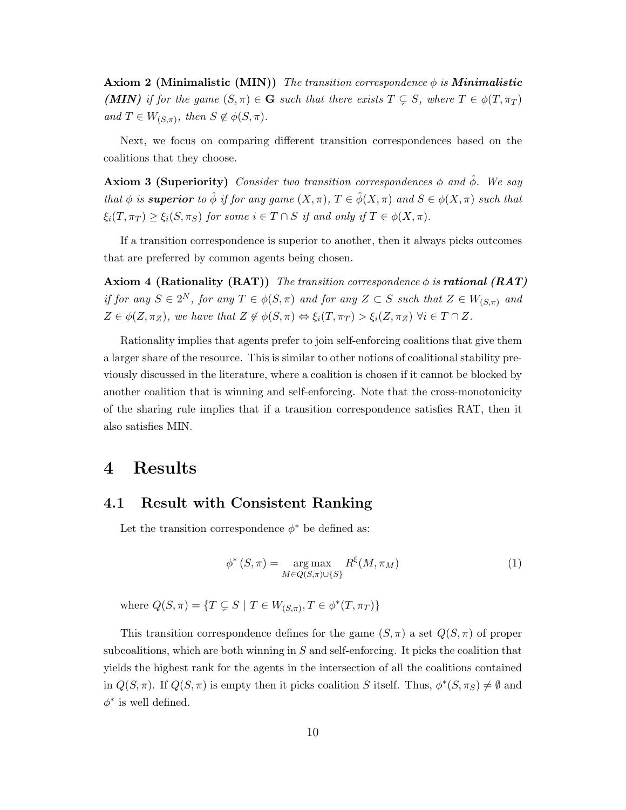**Axiom 2 (Minimalistic (MIN))** The transition correspondence  $\phi$  is **Minimalistic** (MIN) if for the game  $(S,\pi) \in \mathbf{G}$  such that there exists  $T \subsetneq S$ , where  $T \in \phi(T,\pi_T)$ and  $T \in W_{(S,\pi)}$ , then  $S \notin \phi(S,\pi)$ .

Next, we focus on comparing different transition correspondences based on the coalitions that they choose.

Axiom 3 (Superiority) Consider two transition correspondences  $\phi$  and  $\hat{\phi}$ . We say that  $\phi$  is superior to  $\hat{\phi}$  if for any game  $(X, \pi)$ ,  $T \in \hat{\phi}(X, \pi)$  and  $S \in \phi(X, \pi)$  such that  $\xi_i(T, \pi_T) \geq \xi_i(S, \pi_S)$  for some  $i \in T \cap S$  if and only if  $T \in \phi(X, \pi)$ .

If a transition correspondence is superior to another, then it always picks outcomes that are preferred by common agents being chosen.

Axiom 4 (Rationality (RAT)) The transition correspondence  $\phi$  is **rational** (RAT) if for any  $S \in 2^N$ , for any  $T \in \phi(S, \pi)$  and for any  $Z \subset S$  such that  $Z \in W_{(S,\pi)}$  and  $Z \in \phi(Z, \pi_Z)$ , we have that  $Z \notin \phi(S, \pi) \Leftrightarrow \xi_i(T, \pi_T) > \xi_i(Z, \pi_Z) \ \forall i \in T \cap Z$ .

Rationality implies that agents prefer to join self-enforcing coalitions that give them a larger share of the resource. This is similar to other notions of coalitional stability previously discussed in the literature, where a coalition is chosen if it cannot be blocked by another coalition that is winning and self-enforcing. Note that the cross-monotonicity of the sharing rule implies that if a transition correspondence satisfies RAT, then it also satisfies MIN.

## 4 Results

### 4.1 Result with Consistent Ranking

Let the transition correspondence  $\phi^*$  be defined as:

$$
\phi^* (S, \pi) = \underset{M \in Q(S, \pi) \cup \{S\}}{\arg \max} R^{\xi}(M, \pi_M)
$$
\n(1)

where  $Q(S,\pi) = \{T \subsetneq S \mid T \in W_{(S,\pi)}, T \in \phi^*(T,\pi_T)\}\$ 

This transition correspondence defines for the game  $(S, \pi)$  a set  $Q(S, \pi)$  of proper subcoalitions, which are both winning in  $S$  and self-enforcing. It picks the coalition that yields the highest rank for the agents in the intersection of all the coalitions contained in  $Q(S,\pi)$ . If  $Q(S,\pi)$  is empty then it picks coalition S itself. Thus,  $\phi^*(S,\pi_S) \neq \emptyset$  and  $\phi^*$  is well defined.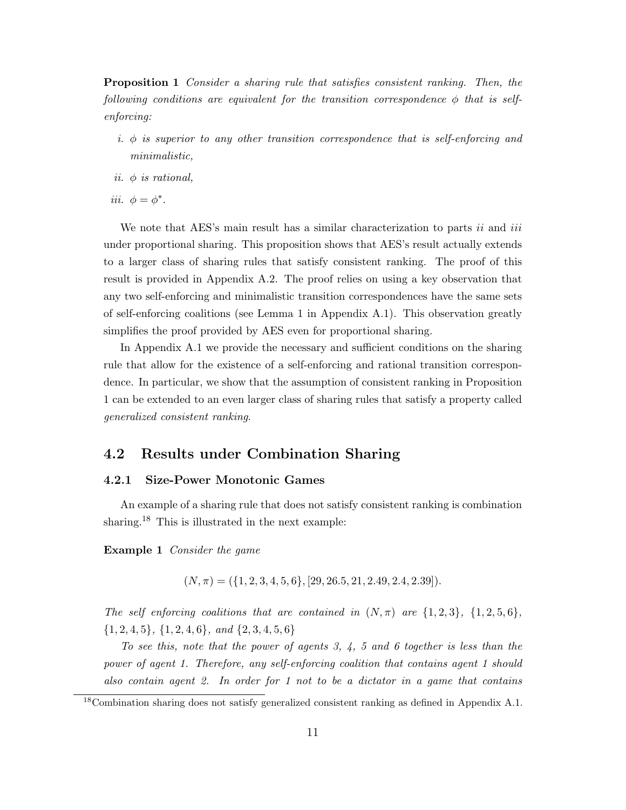Proposition 1 Consider a sharing rule that satisfies consistent ranking. Then, the following conditions are equivalent for the transition correspondence  $\phi$  that is selfenforcing:

- i.  $\phi$  is superior to any other transition correspondence that is self-enforcing and minimalistic,
- ii.  $\phi$  is rational,
- iii.  $\phi = \phi^*$ .

We note that AES's main result has a similar characterization to parts *ii* and *iii* under proportional sharing. This proposition shows that AES's result actually extends to a larger class of sharing rules that satisfy consistent ranking. The proof of this result is provided in Appendix A.2. The proof relies on using a key observation that any two self-enforcing and minimalistic transition correspondences have the same sets of self-enforcing coalitions (see Lemma 1 in Appendix A.1). This observation greatly simplifies the proof provided by AES even for proportional sharing.

In Appendix A.1 we provide the necessary and sufficient conditions on the sharing rule that allow for the existence of a self-enforcing and rational transition correspondence. In particular, we show that the assumption of consistent ranking in Proposition 1 can be extended to an even larger class of sharing rules that satisfy a property called generalized consistent ranking.

### 4.2 Results under Combination Sharing

#### 4.2.1 Size-Power Monotonic Games

An example of a sharing rule that does not satisfy consistent ranking is combination sharing.<sup>18</sup> This is illustrated in the next example:

Example 1 Consider the game

$$
(N, \pi) = (\{1, 2, 3, 4, 5, 6\}, [29, 26.5, 21, 2.49, 2.4, 2.39]).
$$

The self enforcing coalitions that are contained in  $(N, \pi)$  are  $\{1, 2, 3\}, \{1, 2, 5, 6\}$ ,  $\{1, 2, 4, 5\}, \{1, 2, 4, 6\}, \text{ and } \{2, 3, 4, 5, 6\}$ 

To see this, note that the power of agents 3, 4, 5 and 6 together is less than the power of agent 1. Therefore, any self-enforcing coalition that contains agent 1 should also contain agent 2. In order for 1 not to be a dictator in a game that contains

<sup>&</sup>lt;sup>18</sup>Combination sharing does not satisfy generalized consistent ranking as defined in Appendix A.1.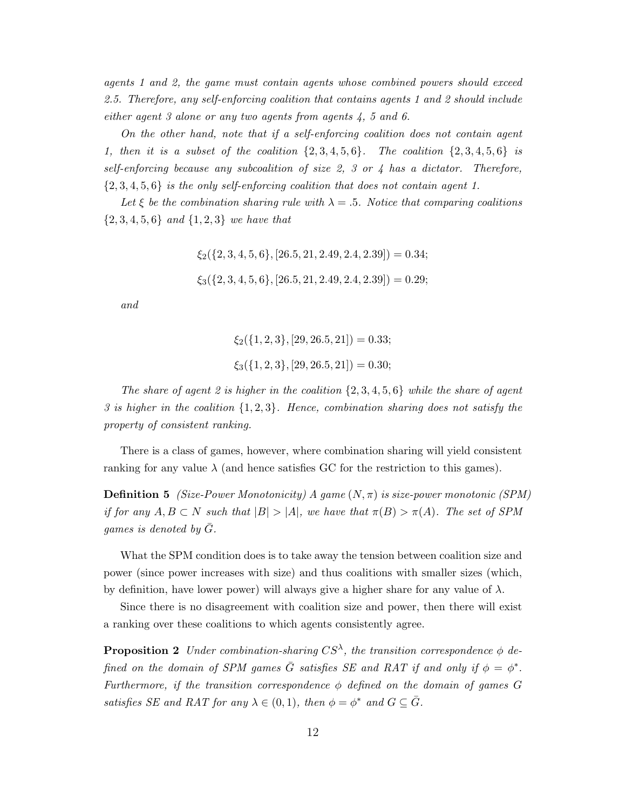agents 1 and 2, the game must contain agents whose combined powers should exceed 2.5. Therefore, any self-enforcing coalition that contains agents 1 and 2 should include either agent 3 alone or any two agents from agents 4, 5 and 6.

On the other hand, note that if a self-enforcing coalition does not contain agent 1, then it is a subset of the coalition  $\{2, 3, 4, 5, 6\}$ . The coalition  $\{2, 3, 4, 5, 6\}$  is self-enforcing because any subcoalition of size 2, 3 or 4 has a dictator. Therefore,  $\{2,3,4,5,6\}$  is the only self-enforcing coalition that does not contain agent 1.

Let  $\xi$  be the combination sharing rule with  $\lambda = .5$ . Notice that comparing coalitions  $\{2, 3, 4, 5, 6\}$  and  $\{1, 2, 3\}$  we have that

> $\xi_2$ ({2, 3, 4, 5, 6}, [26.5, 21, 2.49, 2.4, 2.39]) = 0.34;  $\xi_3({1, 3, 4, 5, 6}, {26.5, 21, 2.49, 2.4, 2.39}) = 0.29;$

and

$$
\xi_2(\{1, 2, 3\}, [29, 26.5, 21]) = 0.33;
$$
  

$$
\xi_3(\{1, 2, 3\}, [29, 26.5, 21]) = 0.30;
$$

The share of agent 2 is higher in the coalition  $\{2,3,4,5,6\}$  while the share of agent 3 is higher in the coalition  $\{1, 2, 3\}$ . Hence, combination sharing does not satisfy the property of consistent ranking.

There is a class of games, however, where combination sharing will yield consistent ranking for any value  $\lambda$  (and hence satisfies GC for the restriction to this games).

**Definition 5** (Size-Power Monotonicity) A game  $(N, \pi)$  is size-power monotonic (SPM) if for any  $A, B \subset N$  such that  $|B| > |A|$ , we have that  $\pi(B) > \pi(A)$ . The set of SPM games is denoted by  $G$ .

What the SPM condition does is to take away the tension between coalition size and power (since power increases with size) and thus coalitions with smaller sizes (which, by definition, have lower power) will always give a higher share for any value of  $\lambda$ .

Since there is no disagreement with coalition size and power, then there will exist a ranking over these coalitions to which agents consistently agree.

**Proposition 2** Under combination-sharing  $CS^{\lambda}$ , the transition correspondence  $\phi$  defined on the domain of SPM games  $\overline{G}$  satisfies SE and RAT if and only if  $\phi = \phi^*$ . Furthermore, if the transition correspondence  $\phi$  defined on the domain of games G satisfies SE and RAT for any  $\lambda \in (0,1)$ , then  $\phi = \phi^*$  and  $G \subseteq \overline{G}$ .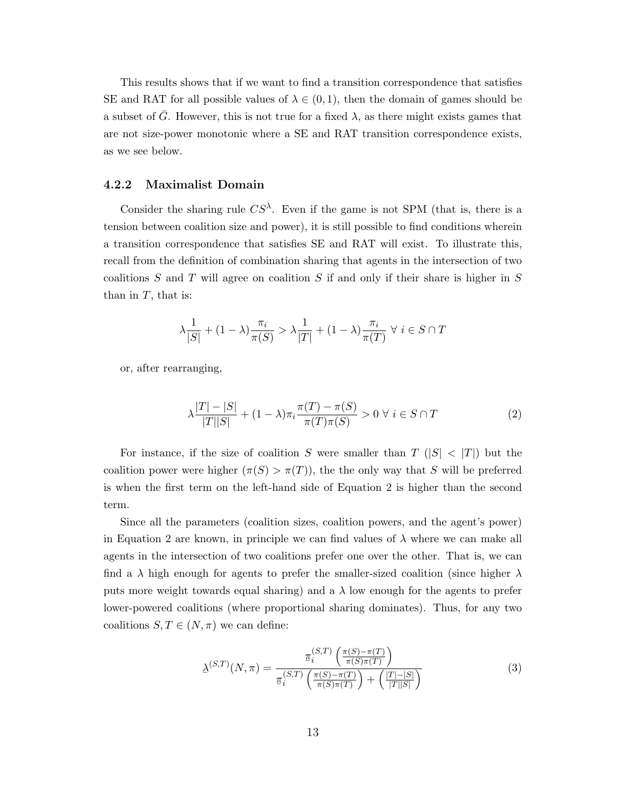This results shows that if we want to find a transition correspondence that satisfies SE and RAT for all possible values of  $\lambda \in (0,1)$ , then the domain of games should be a subset of G. However, this is not true for a fixed  $\lambda$ , as there might exists games that are not size-power monotonic where a SE and RAT transition correspondence exists, as we see below.

#### 4.2.2 Maximalist Domain

Consider the sharing rule  $CS^{\lambda}$ . Even if the game is not SPM (that is, there is a tension between coalition size and power), it is still possible to find conditions wherein a transition correspondence that satisfies SE and RAT will exist. To illustrate this, recall from the definition of combination sharing that agents in the intersection of two coalitions  $S$  and  $T$  will agree on coalition  $S$  if and only if their share is higher in  $S$ than in  $T$ , that is:

$$
\lambda \frac{1}{|S|} + (1 - \lambda) \frac{\pi_i}{\pi(S)} > \lambda \frac{1}{|T|} + (1 - \lambda) \frac{\pi_i}{\pi(T)} \ \forall \ i \in S \cap T
$$

or, after rearranging,

$$
\lambda \frac{|T| - |S|}{|T||S|} + (1 - \lambda)\pi_i \frac{\pi(T) - \pi(S)}{\pi(T)\pi(S)} > 0 \ \forall \ i \in S \cap T
$$
 (2)

For instance, if the size of coalition S were smaller than  $T(|S| < |T|)$  but the coalition power were higher  $(\pi(S) > \pi(T))$ , the the only way that S will be preferred is when the first term on the left-hand side of Equation 2 is higher than the second term.

Since all the parameters (coalition sizes, coalition powers, and the agent's power) in Equation 2 are known, in principle we can find values of  $\lambda$  where we can make all agents in the intersection of two coalitions prefer one over the other. That is, we can find a  $\lambda$  high enough for agents to prefer the smaller-sized coalition (since higher  $\lambda$ puts more weight towards equal sharing) and a  $\lambda$  low enough for the agents to prefer lower-powered coalitions (where proportional sharing dominates). Thus, for any two coalitions  $S, T \in (N, \pi)$  we can define:

$$
\Delta^{(S,T)}(N,\pi) = \frac{\pi_i^{(S,T)}\left(\frac{\pi(S) - \pi(T)}{\pi(S)\pi(T)}\right)}{\pi_i^{(S,T)}\left(\frac{\pi(S) - \pi(T)}{\pi(S)\pi(T)}\right) + \left(\frac{|T| - |S|}{|T||S|}\right)}\tag{3}
$$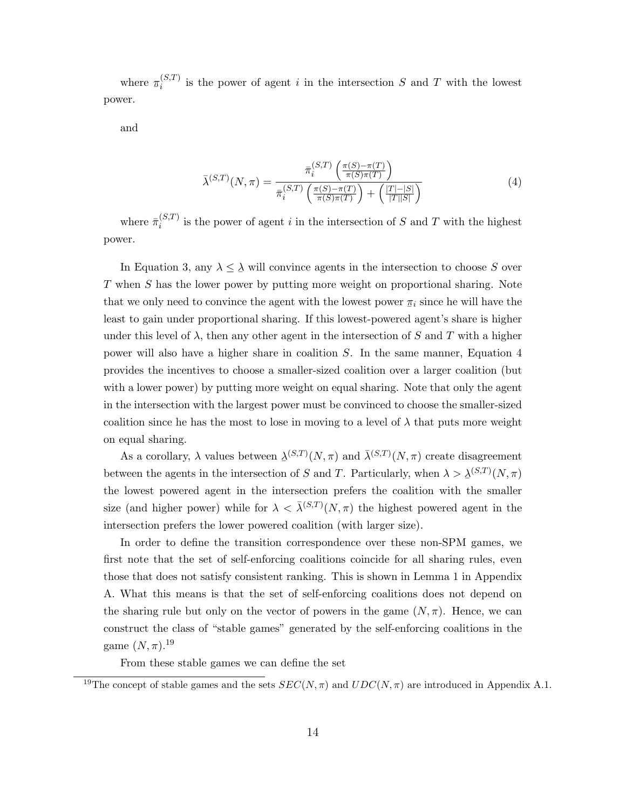where  $\pi_i^{(S,T)}$  $i_j^{(S,I)}$  is the power of agent i in the intersection S and T with the lowest power.

and

$$
\bar{\lambda}^{(S,T)}(N,\pi) = \frac{\bar{\pi}_i^{(S,T)}\left(\frac{\pi(S)-\pi(T)}{\pi(S)\pi(T)}\right)}{\bar{\pi}_i^{(S,T)}\left(\frac{\pi(S)-\pi(T)}{\pi(S)\pi(T)}\right) + \left(\frac{|T|-|S|}{|T||S|}\right)}\tag{4}
$$

where  $\bar{\pi}_i^{(S,T)}$  $i_j^{(S,I)}$  is the power of agent i in the intersection of S and T with the highest power.

In Equation 3, any  $\lambda \leq \lambda$  will convince agents in the intersection to choose S over T when S has the lower power by putting more weight on proportional sharing. Note that we only need to convince the agent with the lowest power  $\pi_i$  since he will have the least to gain under proportional sharing. If this lowest-powered agent's share is higher under this level of  $\lambda$ , then any other agent in the intersection of S and T with a higher power will also have a higher share in coalition S. In the same manner, Equation 4 provides the incentives to choose a smaller-sized coalition over a larger coalition (but with a lower power) by putting more weight on equal sharing. Note that only the agent in the intersection with the largest power must be convinced to choose the smaller-sized coalition since he has the most to lose in moving to a level of  $\lambda$  that puts more weight on equal sharing.

As a corollary,  $\lambda$  values between  $\lambda^{(S,T)}(N,\pi)$  and  $\bar{\lambda}^{(S,T)}(N,\pi)$  create disagreement  $\tilde{}$ between the agents in the intersection of S and T. Particularly, when  $\lambda > \underline{\lambda}^{(S,T)}(N,\pi)$ the lowest powered agent in the intersection prefers the coalition with the smaller size (and higher power) while for  $\lambda < \bar{\lambda}^{(S,T)}(N,\pi)$  the highest powered agent in the intersection prefers the lower powered coalition (with larger size).

In order to define the transition correspondence over these non-SPM games, we first note that the set of self-enforcing coalitions coincide for all sharing rules, even those that does not satisfy consistent ranking. This is shown in Lemma 1 in Appendix A. What this means is that the set of self-enforcing coalitions does not depend on the sharing rule but only on the vector of powers in the game  $(N, \pi)$ . Hence, we can construct the class of "stable games" generated by the self-enforcing coalitions in the game  $(N, \pi)$ <sup>19</sup>

From these stable games we can define the set

<sup>&</sup>lt;sup>19</sup>The concept of stable games and the sets  $SEC(N, \pi)$  and  $UDC(N, \pi)$  are introduced in Appendix A.1.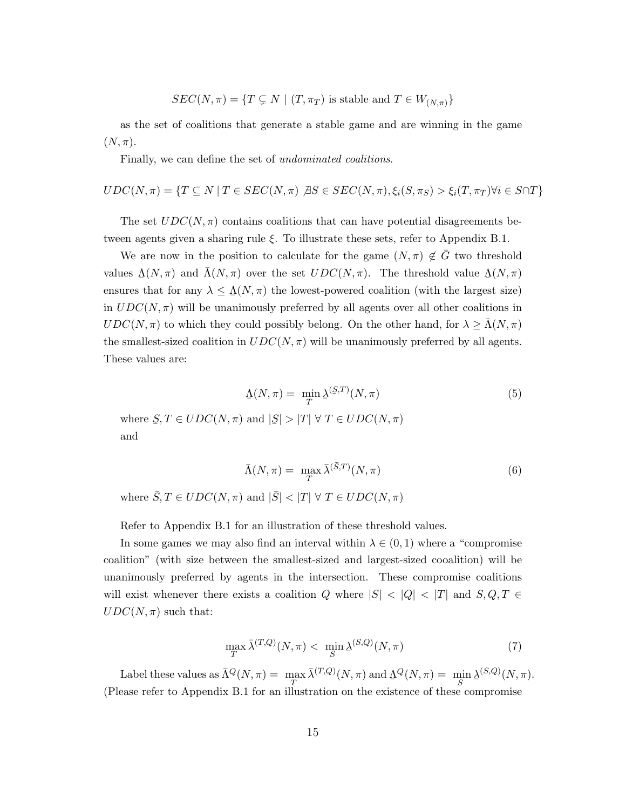$$
SEC(N, \pi) = \{ T \subsetneq N \mid (T, \pi_T) \text{ is stable and } T \in W_{(N, \pi)} \}
$$

as the set of coalitions that generate a stable game and are winning in the game  $(N, \pi)$ .

Finally, we can define the set of *undominated coalitions*.

$$
UDC(N, \pi) = \{ T \subseteq N \mid T \in SEC(N, \pi) \ \text{AS} \in SEC(N, \pi), \xi_i(S, \pi_S) > \xi_i(T, \pi_T) \forall i \in S \cap T \}
$$

The set  $UDC(N, \pi)$  contains coalitions that can have potential disagreements between agents given a sharing rule  $\xi$ . To illustrate these sets, refer to Appendix B.1.

We are now in the position to calculate for the game  $(N, \pi) \notin G$  two threshold values  $\Delta(N, \pi)$  and  $\bar{\Lambda}(N, \pi)$  over the set  $UDC(N, \pi)$ . The threshold value  $\Delta(N, \pi)$ ensures that for any  $\lambda \leq \underline{\Lambda}(N, \pi)$  the lowest-powered coalition (with the largest size) in  $UDC(N, \pi)$  will be unanimously preferred by all agents over all other coalitions in  $UDC(N, \pi)$  to which they could possibly belong. On the other hand, for  $\lambda \geq \Lambda(N, \pi)$ the smallest-sized coalition in  $UDC(N, \pi)$  will be unanimously preferred by all agents. These values are:

$$
\Delta(N,\pi) = \min_{T} \Delta^{(S,T)}(N,\pi)
$$
\n
$$
\text{where } S, T \in UDC(N,\pi) \text{ and } |S| > |T| \forall T \in UDC(N,\pi)
$$
\n
$$
(5)
$$

and

$$
\bar{\Lambda}(N,\pi) = \max_{T} \bar{\lambda}^{(\bar{S},T)}(N,\pi) \tag{6}
$$

where  $\overline{S}, T \in UDC(N, \pi)$  and  $|\overline{S}| < |T| \forall T \in UDC(N, \pi)$ 

Refer to Appendix B.1 for an illustration of these threshold values.

In some games we may also find an interval within  $\lambda \in (0,1)$  where a "compromise" coalition" (with size between the smallest-sized and largest-sized cooalition) will be unanimously preferred by agents in the intersection. These compromise coalitions will exist whenever there exists a coalition Q where  $|S| < |Q| < |T|$  and  $S, Q, T \in$  $UDC(N, \pi)$  such that:

$$
\max_{T} \bar{\lambda}^{(T,Q)}(N,\pi) < \min_{S} \underline{\lambda}^{(S,Q)}(N,\pi) \tag{7}
$$

Label these values as  $\bar{\Lambda}^Q(N,\pi) = \max_{T} \bar{\lambda}^{(T,Q)}(N,\pi)$  and  $\bar{\Lambda}^Q(N,\pi) = \min_{S} \underline{\lambda}^{(S,Q)}(N,\pi)$ . (Please refer to Appendix B.1 for an illustration on the existence of these compromise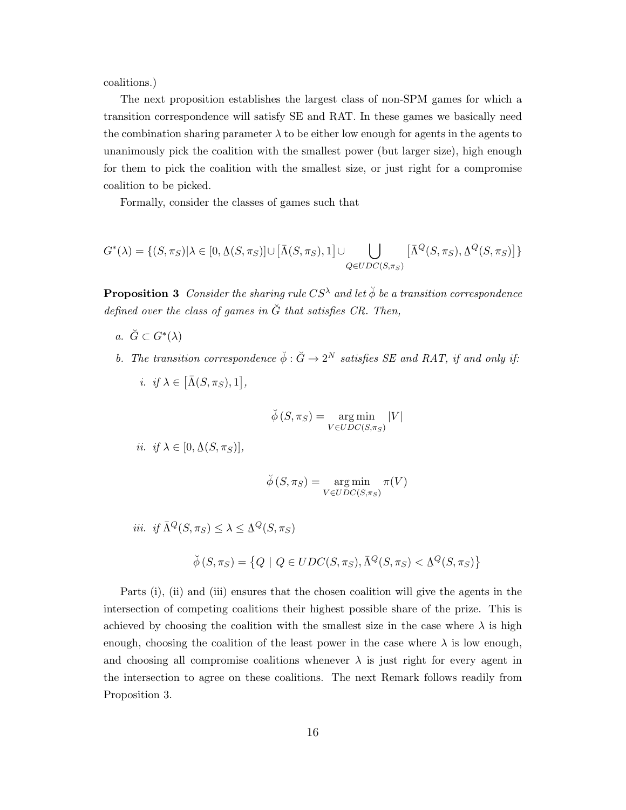coalitions.)

The next proposition establishes the largest class of non-SPM games for which a transition correspondence will satisfy SE and RAT. In these games we basically need the combination sharing parameter  $\lambda$  to be either low enough for agents in the agents to unanimously pick the coalition with the smallest power (but larger size), high enough for them to pick the coalition with the smallest size, or just right for a compromise coalition to be picked.

Formally, consider the classes of games such that

$$
G^*(\lambda) = \{ (S, \pi_S) | \lambda \in [0, \Delta(S, \pi_S)] \cup [\bar{\Lambda}(S, \pi_S), 1] \cup \bigcup_{Q \in UDC(S, \pi_S)} [\bar{\Lambda}^Q(S, \pi_S), \Delta^Q(S, \pi_S)] \}
$$

**Proposition 3** Consider the sharing rule  $CS^{\lambda}$  and let  $\check{\phi}$  be a transition correspondence defined over the class of games in  $\check{G}$  that satisfies CR. Then,

- a.  $\breve{G} \subset G^*(\lambda)$
- b. The transition correspondence  $\check{\phi} : \check{G} \to 2^N$  satisfies SE and RAT, if and only if: *i. if*  $\lambda \in [\bar{\Lambda}(S, \pi_S), 1],$

$$
\breve{\phi}(S, \pi_S) = \underset{V \in UDC(S, \pi_S)}{\arg \min} |V|
$$

$$
ii. \ \ if \ \lambda \in [0, \Delta(S, \pi_S)],
$$

$$
\breve{\phi}(S, \pi_S) = \argmin_{V \in UDC(S, \pi_S)} \pi(V)
$$

iii. if 
$$
\bar{\Lambda}^Q(S, \pi_S) \leq \lambda \leq \underline{\Lambda}^Q(S, \pi_S)
$$

$$
\check{\phi}(S,\pi_S) = \left\{ Q \mid Q \in UDC(S,\pi_S), \bar{\Lambda}^Q(S,\pi_S) < \underline{\Lambda}^Q(S,\pi_S) \right\}
$$

Parts (i), (ii) and (iii) ensures that the chosen coalition will give the agents in the intersection of competing coalitions their highest possible share of the prize. This is achieved by choosing the coalition with the smallest size in the case where  $\lambda$  is high enough, choosing the coalition of the least power in the case where  $\lambda$  is low enough, and choosing all compromise coalitions whenever  $\lambda$  is just right for every agent in the intersection to agree on these coalitions. The next Remark follows readily from Proposition 3.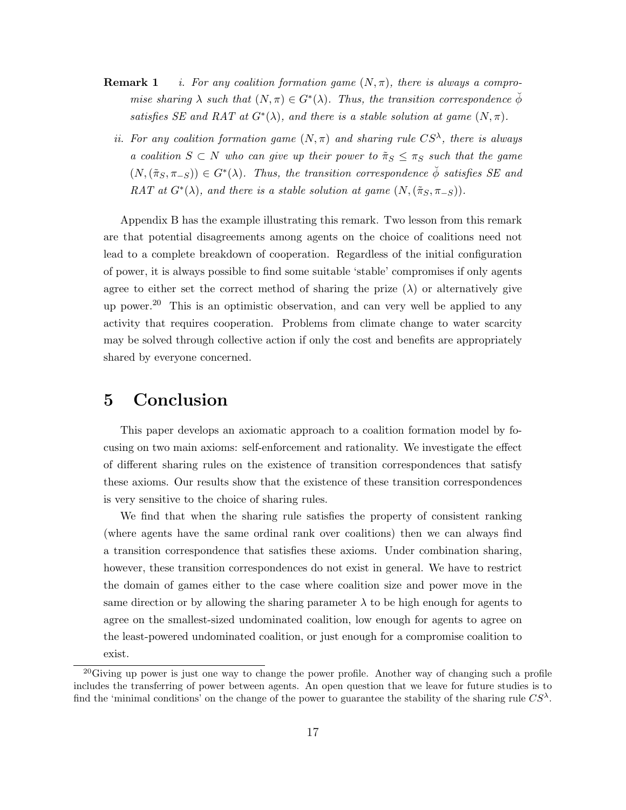- **Remark 1** i. For any coalition formation game  $(N, \pi)$ , there is always a compromise sharing  $\lambda$  such that  $(N, \pi) \in G^*(\lambda)$ . Thus, the transition correspondence  $\check{\phi}$ satisfies SE and RAT at  $G^*(\lambda)$ , and there is a stable solution at game  $(N, \pi)$ .
	- ii. For any coalition formation game  $(N, \pi)$  and sharing rule  $CS^{\lambda}$ , there is always a coalition  $S \subset N$  who can give up their power to  $\tilde{\pi}_S \leq \pi_S$  such that the game  $(N,(\tilde{\pi}_S, \pi_{-S})) \in G^*(\lambda)$ . Thus, the transition correspondence  $\check{\phi}$  satisfies SE and RAT at  $G^*(\lambda)$ , and there is a stable solution at game  $(N,(\tilde{\pi}_S,\pi_{-S}))$ .

Appendix B has the example illustrating this remark. Two lesson from this remark are that potential disagreements among agents on the choice of coalitions need not lead to a complete breakdown of cooperation. Regardless of the initial configuration of power, it is always possible to find some suitable 'stable' compromises if only agents agree to either set the correct method of sharing the prize  $(\lambda)$  or alternatively give up power.<sup>20</sup> This is an optimistic observation, and can very well be applied to any activity that requires cooperation. Problems from climate change to water scarcity may be solved through collective action if only the cost and benefits are appropriately shared by everyone concerned.

# 5 Conclusion

This paper develops an axiomatic approach to a coalition formation model by focusing on two main axioms: self-enforcement and rationality. We investigate the effect of different sharing rules on the existence of transition correspondences that satisfy these axioms. Our results show that the existence of these transition correspondences is very sensitive to the choice of sharing rules.

We find that when the sharing rule satisfies the property of consistent ranking (where agents have the same ordinal rank over coalitions) then we can always find a transition correspondence that satisfies these axioms. Under combination sharing, however, these transition correspondences do not exist in general. We have to restrict the domain of games either to the case where coalition size and power move in the same direction or by allowing the sharing parameter  $\lambda$  to be high enough for agents to agree on the smallest-sized undominated coalition, low enough for agents to agree on the least-powered undominated coalition, or just enough for a compromise coalition to exist.

 $^{20}$ Giving up power is just one way to change the power profile. Another way of changing such a profile includes the transferring of power between agents. An open question that we leave for future studies is to find the 'minimal conditions' on the change of the power to guarantee the stability of the sharing rule  $CS^{\lambda}$ .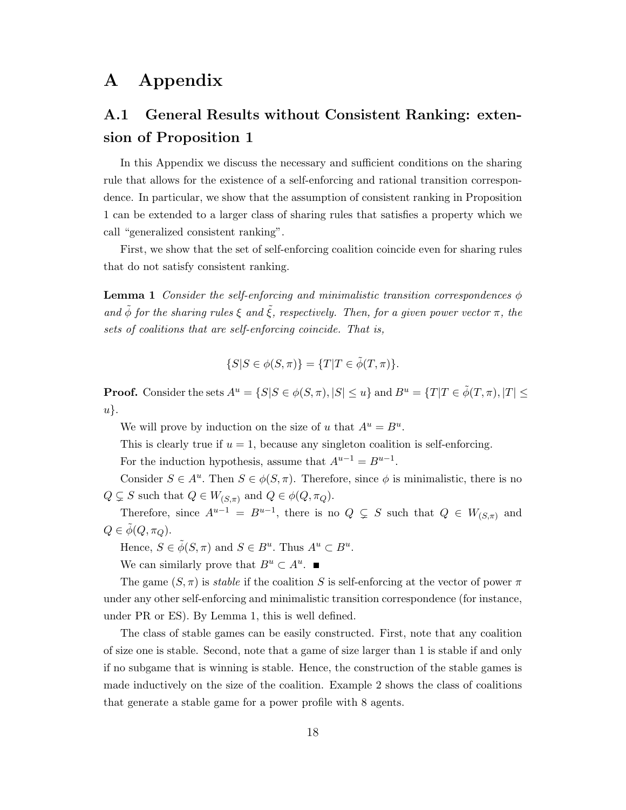# A Appendix

# A.1 General Results without Consistent Ranking: extension of Proposition 1

In this Appendix we discuss the necessary and sufficient conditions on the sharing rule that allows for the existence of a self-enforcing and rational transition correspondence. In particular, we show that the assumption of consistent ranking in Proposition 1 can be extended to a larger class of sharing rules that satisfies a property which we call "generalized consistent ranking".

First, we show that the set of self-enforcing coalition coincide even for sharing rules that do not satisfy consistent ranking.

**Lemma 1** Consider the self-enforcing and minimalistic transition correspondences  $\phi$ and  $\tilde{\phi}$  for the sharing rules  $\xi$  and  $\tilde{\xi}$ , respectively. Then, for a given power vector  $\pi$ , the sets of coalitions that are self-enforcing coincide. That is,

$$
\{S|S \in \phi(S,\pi)\} = \{T|T \in \tilde{\phi}(T,\pi)\}.
$$

**Proof.** Consider the sets  $A^u = \{S | S \in \phi(S, \pi), |S| \leq u\}$  and  $B^u = \{T | T \in \tilde{\phi}(T, \pi), |T| \leq \theta(S, \pi)\}$ u}.

We will prove by induction on the size of u that  $A^u = B^u$ .

This is clearly true if  $u = 1$ , because any singleton coalition is self-enforcing.

For the induction hypothesis, assume that  $A^{u-1} = B^{u-1}$ .

Consider  $S \in A^u$ . Then  $S \in \phi(S, \pi)$ . Therefore, since  $\phi$  is minimalistic, there is no  $Q \subsetneq S$  such that  $Q \in W_{(S,\pi)}$  and  $Q \in \phi(Q, \pi_Q)$ .

Therefore, since  $A^{u-1} = B^{u-1}$ , there is no  $Q \subsetneq S$  such that  $Q \in W_{(S,\pi)}$  and  $Q \in \phi(Q, \pi_Q)$ .

Hence,  $S \in \tilde{\phi}(S, \pi)$  and  $S \in B^u$ . Thus  $A^u \subset B^u$ .

We can similarly prove that  $B^u \subset A^u$ .

The game  $(S, \pi)$  is *stable* if the coalition S is self-enforcing at the vector of power  $\pi$ under any other self-enforcing and minimalistic transition correspondence (for instance, under PR or ES). By Lemma 1, this is well defined.

The class of stable games can be easily constructed. First, note that any coalition of size one is stable. Second, note that a game of size larger than 1 is stable if and only if no subgame that is winning is stable. Hence, the construction of the stable games is made inductively on the size of the coalition. Example 2 shows the class of coalitions that generate a stable game for a power profile with 8 agents.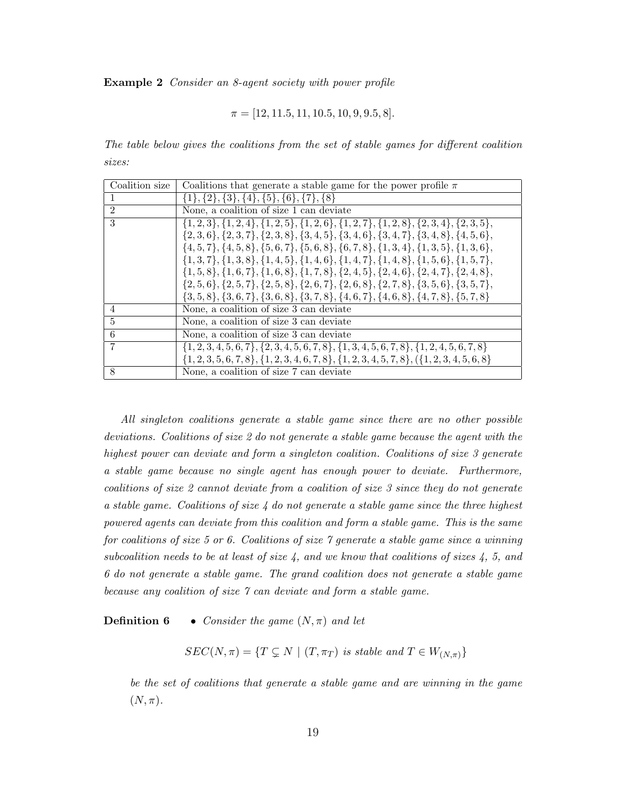Example 2 Consider an 8-agent society with power profile

$$
\pi = [12, 11.5, 11, 10.5, 10, 9, 9.5, 8].
$$

The table below gives the coalitions from the set of stable games for different coalition sizes:

| Coalition size | Coalitions that generate a stable game for the power profile $\pi$                                        |
|----------------|-----------------------------------------------------------------------------------------------------------|
|                | $\{1\},\{2\},\{3\},\{4\},\{5\},\{6\},\{7\},\{8\}$                                                         |
| $\mathfrak{D}$ | None, a coalition of size 1 can deviate                                                                   |
| 3              | $\{1,2,3\}, \{1,2,4\}, \{1,2,5\}, \{1,2,6\}, \{1,2,7\}, \{1,2,8\}, \{2,3,4\}, \{2,3,5\},$                 |
|                | $\{2,3,6\}, \{2,3,7\}, \{2,3,8\}, \{3,4,5\}, \{3,4,6\}, \{3,4,7\}, \{3,4,8\}, \{4,5,6\},$                 |
|                | $\{4, 5, 7\}, \{4, 5, 8\}, \{5, 6, 7\}, \{5, 6, 8\}, \{6, 7, 8\}, \{1, 3, 4\}, \{1, 3, 5\}, \{1, 3, 6\},$ |
|                | $\{1,3,7\}, \{1,3,8\}, \{1,4,5\}, \{1,4,6\}, \{1,4,7\}, \{1,4,8\}, \{1,5,6\}, \{1,5,7\},$                 |
|                | $\{1, 5, 8\}, \{1, 6, 7\}, \{1, 6, 8\}, \{1, 7, 8\}, \{2, 4, 5\}, \{2, 4, 6\}, \{2, 4, 7\}, \{2, 4, 8\},$ |
|                | $\{2,5,6\}, \{2,5,7\}, \{2,5,8\}, \{2,6,7\}, \{2,6,8\}, \{2,7,8\}, \{3,5,6\}, \{3,5,7\},$                 |
|                | $\{3,5,8\},\{3,6,7\},\{3,6,8\},\{3,7,8\},\{4,6,7\},\{4,6,8\},\{4,7,8\},\{5,7,8\}$                         |
| 4              | None, a coalition of size 3 can deviate                                                                   |
| $\overline{5}$ | None, a coalition of size 3 can deviate                                                                   |
| 6              | None, a coalition of size 3 can deviate                                                                   |
| 7              | $\{1, 2, 3, 4, 5, 6, 7\}, \{2, 3, 4, 5, 6, 7, 8\}, \{1, 3, 4, 5, 6, 7, 8\}, \{1, 2, 4, 5, 6, 7, 8\}$      |
|                | $\{1, 2, 3, 5, 6, 7, 8\}, \{1, 2, 3, 4, 6, 7, 8\}, \{1, 2, 3, 4, 5, 7, 8\}, (\{1, 2, 3, 4, 5, 6, 8\})$    |
| 8              | None, a coalition of size 7 can deviate                                                                   |

All singleton coalitions generate a stable game since there are no other possible deviations. Coalitions of size 2 do not generate a stable game because the agent with the highest power can deviate and form a singleton coalition. Coalitions of size 3 generate a stable game because no single agent has enough power to deviate. Furthermore, coalitions of size 2 cannot deviate from a coalition of size 3 since they do not generate a stable game. Coalitions of size  $\lambda$  do not generate a stable game since the three highest powered agents can deviate from this coalition and form a stable game. This is the same for coalitions of size 5 or 6. Coalitions of size 7 generate a stable game since a winning subcoalition needs to be at least of size 4, and we know that coalitions of sizes 4, 5, and 6 do not generate a stable game. The grand coalition does not generate a stable game because any coalition of size 7 can deviate and form a stable game.

**Definition 6** • Consider the game  $(N, \pi)$  and let

 $SEC(N, \pi) = \{ T \subsetneq N \mid (T, \pi_T) \text{ is stable and } T \in W_{(N, \pi)} \}$ 

be the set of coalitions that generate a stable game and are winning in the game  $(N, \pi)$ .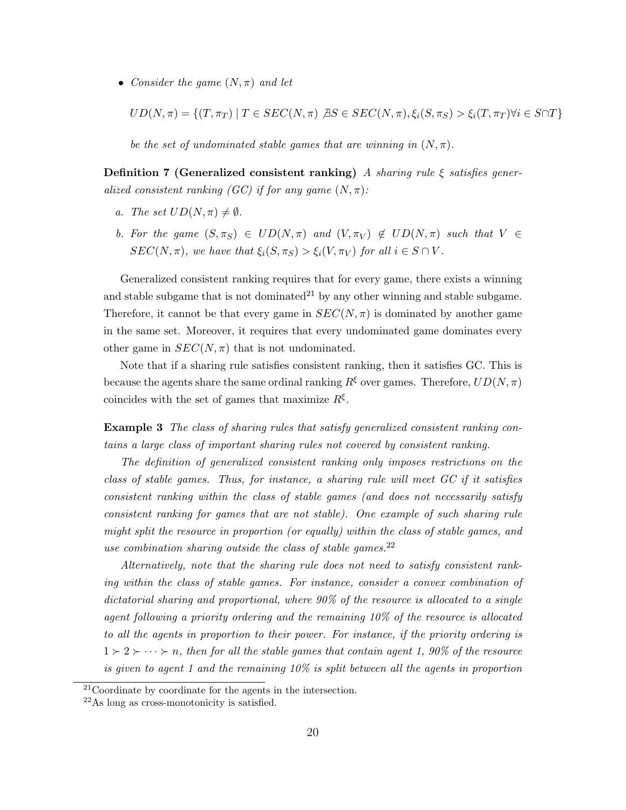• Consider the game  $(N, \pi)$  and let

$$
UD(N,\pi) = \{(T,\pi_T) \mid T \in SEC(N,\pi) \text{ } \exists S \in SEC(N,\pi), \xi_i(S,\pi_S) > \xi_i(T,\pi_T) \forall i \in S \cap T\}
$$

be the set of undominated stable games that are winning in  $(N, \pi)$ .

Definition 7 (Generalized consistent ranking) A sharing rule  $\xi$  satisfies generalized consistent ranking (GC) if for any game  $(N, \pi)$ :

- a. The set  $UD(N, \pi) \neq \emptyset$ .
- b. For the game  $(S, \pi_S) \in UD(N, \pi)$  and  $(V, \pi_V) \notin UD(N, \pi)$  such that  $V \in$  $SEC(N, \pi),$  we have that  $\xi_i(S, \pi_S) > \xi_i(V, \pi_V)$  for all  $i \in S \cap V$ .

Generalized consistent ranking requires that for every game, there exists a winning and stable subgame that is not dominated<sup>21</sup> by any other winning and stable subgame. Therefore, it cannot be that every game in  $SEC(N, \pi)$  is dominated by another game in the same set. Moreover, it requires that every undominated game dominates every other game in  $SEC(N, \pi)$  that is not undominated.

Note that if a sharing rule satisfies consistent ranking, then it satisfies GC. This is because the agents share the same ordinal ranking  $R^{\xi}$  over games. Therefore,  $UD(N, \pi)$ coincides with the set of games that maximize  $R^{\xi}$ .

Example 3 The class of sharing rules that satisfy generalized consistent ranking contains a large class of important sharing rules not covered by consistent ranking.

The definition of generalized consistent ranking only imposes restrictions on the class of stable games. Thus, for instance, a sharing rule will meet GC if it satisfies consistent ranking within the class of stable games (and does not necessarily satisfy consistent ranking for games that are not stable). One example of such sharing rule might split the resource in proportion (or equally) within the class of stable games, and use combination sharing outside the class of stable games.  $22$ 

Alternatively, note that the sharing rule does not need to satisfy consistent ranking within the class of stable games. For instance, consider a convex combination of dictatorial sharing and proportional, where 90% of the resource is allocated to a single agent following a priority ordering and the remaining 10% of the resource is allocated to all the agents in proportion to their power. For instance, if the priority ordering is  $1 \succ 2 \succ \cdots \succ n$ , then for all the stable games that contain agent 1, 90% of the resource is given to agent 1 and the remaining  $10\%$  is split between all the agents in proportion

<sup>21</sup>Coordinate by coordinate for the agents in the intersection.

<sup>22</sup>As long as cross-monotonicity is satisfied.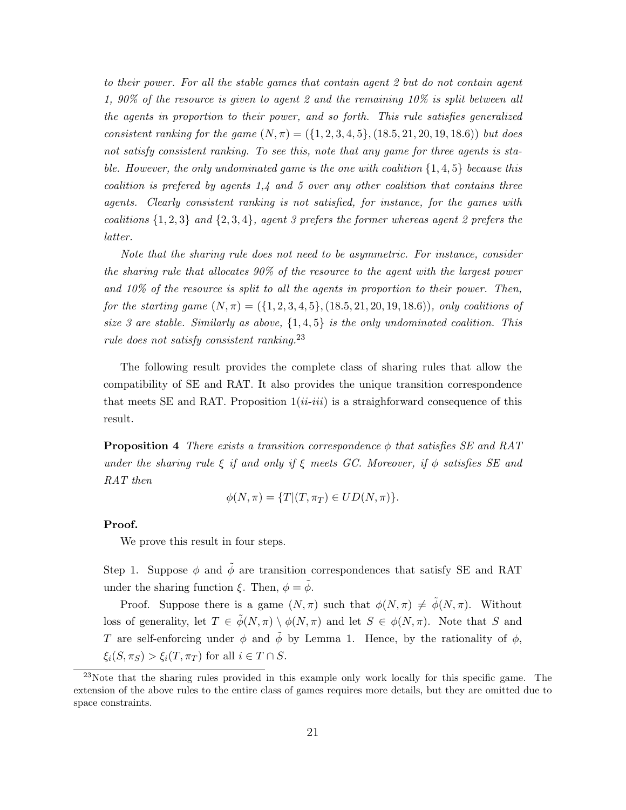to their power. For all the stable games that contain agent 2 but do not contain agent 1, 90% of the resource is given to agent 2 and the remaining 10% is split between all the agents in proportion to their power, and so forth. This rule satisfies generalized consistent ranking for the game  $(N, \pi) = (\{1, 2, 3, 4, 5\}, (18.5, 21, 20, 19, 18.6))$  but does not satisfy consistent ranking. To see this, note that any game for three agents is stable. However, the only undominated game is the one with coalition  $\{1,4,5\}$  because this coalition is prefered by agents  $1,4$  and 5 over any other coalition that contains three agents. Clearly consistent ranking is not satisfied, for instance, for the games with coalitions  $\{1, 2, 3\}$  and  $\{2, 3, 4\}$ , agent 3 prefers the former whereas agent 2 prefers the latter.

Note that the sharing rule does not need to be asymmetric. For instance, consider the sharing rule that allocates 90% of the resource to the agent with the largest power and 10% of the resource is split to all the agents in proportion to their power. Then, for the starting game  $(N, \pi) = (\{1, 2, 3, 4, 5\}, (18.5, 21, 20, 19, 18.6))$ , only coalitions of size 3 are stable. Similarly as above,  $\{1,4,5\}$  is the only undominated coalition. This rule does not satisfy consistent ranking.<sup>23</sup>

The following result provides the complete class of sharing rules that allow the compatibility of SE and RAT. It also provides the unique transition correspondence that meets SE and RAT. Proposition  $1(i\ell-iii)$  is a straighforward consequence of this result.

**Proposition 4** There exists a transition correspondence  $\phi$  that satisfies SE and RAT under the sharing rule ξ if and only if ξ meets GC. Moreover, if  $\phi$  satisfies SE and RAT then

$$
\phi(N,\pi) = \{T | (T,\pi_T) \in UD(N,\pi)\}.
$$

#### Proof.

We prove this result in four steps.

Step 1. Suppose  $\phi$  and  $\tilde{\phi}$  are transition correspondences that satisfy SE and RAT under the sharing function  $\xi$ . Then,  $\phi = \tilde{\phi}$ .

Proof. Suppose there is a game  $(N, \pi)$  such that  $\phi(N, \pi) \neq \tilde{\phi}(N, \pi)$ . Without loss of generality, let  $T \in \tilde{\phi}(N, \pi) \setminus \phi(N, \pi)$  and let  $S \in \phi(N, \pi)$ . Note that S and T are self-enforcing under  $\phi$  and  $\tilde{\phi}$  by Lemma 1. Hence, by the rationality of  $\phi$ ,  $\xi_i(S, \pi_S) > \xi_i(T, \pi_T)$  for all  $i \in T \cap S$ .

 $^{23}$ Note that the sharing rules provided in this example only work locally for this specific game. The extension of the above rules to the entire class of games requires more details, but they are omitted due to space constraints.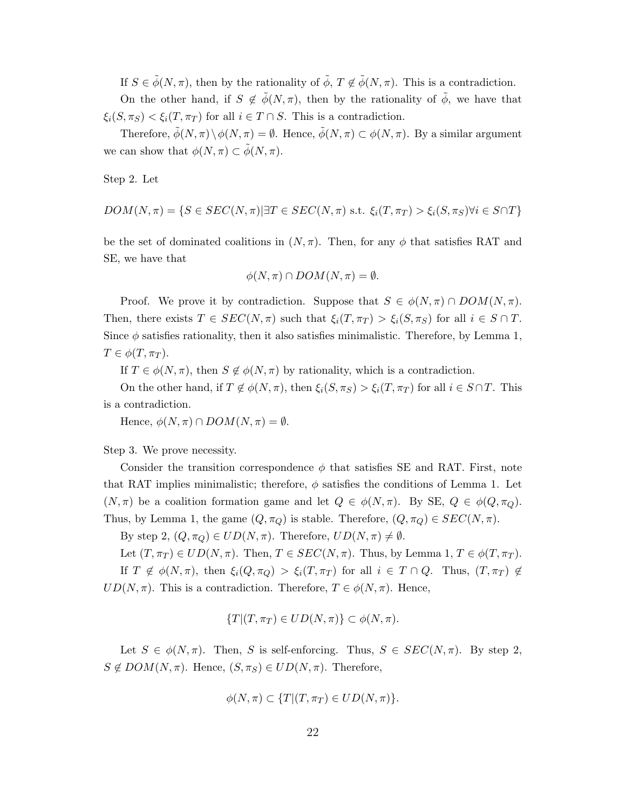If  $S \in \tilde{\phi}(N, \pi)$ , then by the rationality of  $\tilde{\phi}$ ,  $T \notin \tilde{\phi}(N, \pi)$ . This is a contradiction.

On the other hand, if  $S \notin \phi(N, \pi)$ , then by the rationality of  $\phi$ , we have that  $\xi_i(S, \pi_S) < \xi_i(T, \pi_T)$  for all  $i \in T \cap S$ . This is a contradiction.

Therefore,  $\tilde{\phi}(N,\pi) \setminus \phi(N,\pi) = \emptyset$ . Hence,  $\tilde{\phi}(N,\pi) \subset \phi(N,\pi)$ . By a similar argument we can show that  $\phi(N,\pi) \subset \phi(N,\pi)$ .

Step 2. Let

$$
DOM(N,\pi) = \{ S \in SEC(N,\pi) | \exists T \in SEC(N,\pi) \text{ s.t. } \xi_i(T,\pi_T) > \xi_i(S,\pi_S) \forall i \in S \cap T \}
$$

be the set of dominated coalitions in  $(N, \pi)$ . Then, for any  $\phi$  that satisfies RAT and SE, we have that

$$
\phi(N,\pi) \cap DOM(N,\pi)=\emptyset.
$$

Proof. We prove it by contradiction. Suppose that  $S \in \phi(N,\pi) \cap DOM(N,\pi)$ . Then, there exists  $T \in SEC(N, \pi)$  such that  $\xi_i(T, \pi_T) > \xi_i(S, \pi_S)$  for all  $i \in S \cap T$ . Since  $\phi$  satisfies rationality, then it also satisfies minimalistic. Therefore, by Lemma 1,  $T \in \phi(T, \pi_T)$ .

If  $T \in \phi(N, \pi)$ , then  $S \notin \phi(N, \pi)$  by rationality, which is a contradiction.

On the other hand, if  $T \notin \phi(N, \pi)$ , then  $\xi_i(S, \pi_S) > \xi_i(T, \pi_T)$  for all  $i \in S \cap T$ . This is a contradiction.

Hence,  $\phi(N,\pi) \cap DOM(N,\pi) = \emptyset$ .

Step 3. We prove necessity.

Consider the transition correspondence  $\phi$  that satisfies SE and RAT. First, note that RAT implies minimalistic; therefore,  $\phi$  satisfies the conditions of Lemma 1. Let  $(N, \pi)$  be a coalition formation game and let  $Q \in \phi(N, \pi)$ . By SE,  $Q \in \phi(Q, \pi_Q)$ . Thus, by Lemma 1, the game  $(Q, \pi_Q)$  is stable. Therefore,  $(Q, \pi_Q) \in SEC(N, \pi)$ .

By step 2,  $(Q, \pi_Q) \in UD(N, \pi)$ . Therefore,  $UD(N, \pi) \neq \emptyset$ .

Let  $(T, \pi_T) \in UD(N, \pi)$ . Then,  $T \in SEC(N, \pi)$ . Thus, by Lemma 1,  $T \in \phi(T, \pi_T)$ . If  $T \notin \phi(N, \pi)$ , then  $\xi_i(Q, \pi_Q) > \xi_i(T, \pi_T)$  for all  $i \in T \cap Q$ . Thus,  $(T, \pi_T) \notin$  $UD(N, \pi)$ . This is a contradiction. Therefore,  $T \in \phi(N, \pi)$ . Hence,

$$
\{T|(T,\pi_T)\in UD(N,\pi)\}\subset \phi(N,\pi).
$$

Let  $S \in \phi(N, \pi)$ . Then, S is self-enforcing. Thus,  $S \in SEC(N, \pi)$ . By step 2,  $S \notin DOM(N,\pi)$ . Hence,  $(S,\pi_S) \in UD(N,\pi)$ . Therefore,

$$
\phi(N,\pi) \subset \{T | (T,\pi_T) \in UD(N,\pi)\}.
$$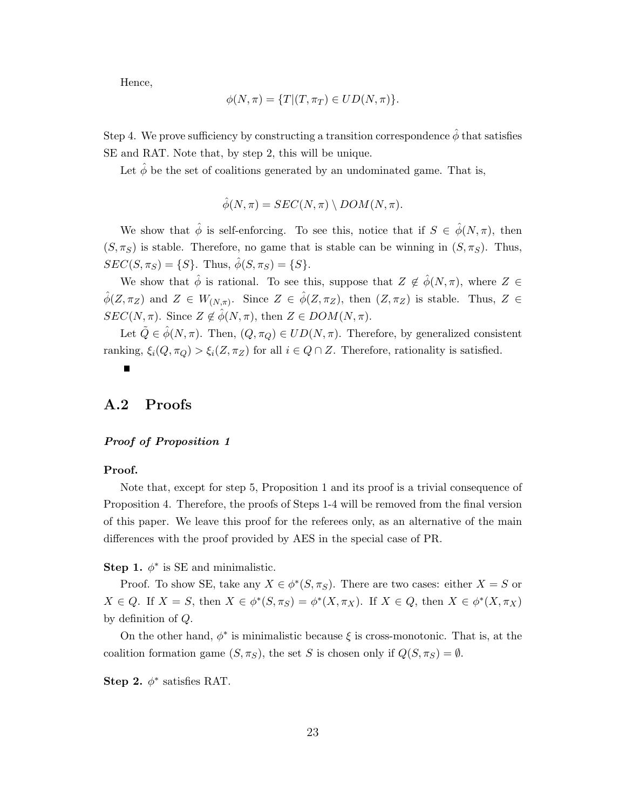Hence,

$$
\phi(N,\pi) = \{T | (T,\pi_T) \in UD(N,\pi)\}.
$$

Step 4. We prove sufficiency by constructing a transition correspondence  $\hat{\phi}$  that satisfies SE and RAT. Note that, by step 2, this will be unique.

Let  $\hat{\phi}$  be the set of coalitions generated by an undominated game. That is,

$$
\hat{\phi}(N,\pi) = SEC(N,\pi) \setminus DOM(N,\pi).
$$

We show that  $\hat{\phi}$  is self-enforcing. To see this, notice that if  $S \in \hat{\phi}(N,\pi)$ , then  $(S, \pi_S)$  is stable. Therefore, no game that is stable can be winning in  $(S, \pi_S)$ . Thus,  $SEC(S, \pi_S) = \{S\}.$  Thus,  $\hat{\phi}(S, \pi_S) = \{S\}.$ 

We show that  $\hat{\phi}$  is rational. To see this, suppose that  $Z \notin \hat{\phi}(N, \pi)$ , where  $Z \in$  $\hat{\phi}(Z,\pi_Z)$  and  $Z \in W_{(N,\pi)}$ . Since  $Z \in \hat{\phi}(Z,\pi_Z)$ , then  $(Z,\pi_Z)$  is stable. Thus,  $Z \in$  $SEC(N, \pi)$ . Since  $Z \notin \hat{\phi}(N, \pi)$ , then  $Z \in DOM(N, \pi)$ .

Let  $\tilde{Q} \in \hat{\phi}(N, \pi)$ . Then,  $(Q, \pi_Q) \in UD(N, \pi)$ . Therefore, by generalized consistent ranking,  $\xi_i(Q, \pi_Q) > \xi_i(Z, \pi_Z)$  for all  $i \in Q \cap Z$ . Therefore, rationality is satisfied.

П

### A.2 Proofs

#### Proof of Proposition 1

#### Proof.

Note that, except for step 5, Proposition 1 and its proof is a trivial consequence of Proposition 4. Therefore, the proofs of Steps 1-4 will be removed from the final version of this paper. We leave this proof for the referees only, as an alternative of the main differences with the proof provided by AES in the special case of PR.

Step 1.  $\phi^*$  is SE and minimalistic.

Proof. To show SE, take any  $X \in \phi^*(S, \pi_S)$ . There are two cases: either  $X = S$  or  $X \in Q$ . If  $X = S$ , then  $X \in \phi^*(S, \pi_S) = \phi^*(X, \pi_X)$ . If  $X \in Q$ , then  $X \in \phi^*(X, \pi_X)$ by definition of Q.

On the other hand,  $\phi^*$  is minimalistic because  $\xi$  is cross-monotonic. That is, at the coalition formation game  $(S, \pi_S)$ , the set S is chosen only if  $Q(S, \pi_S) = \emptyset$ .

Step 2.  $\phi^*$  satisfies RAT.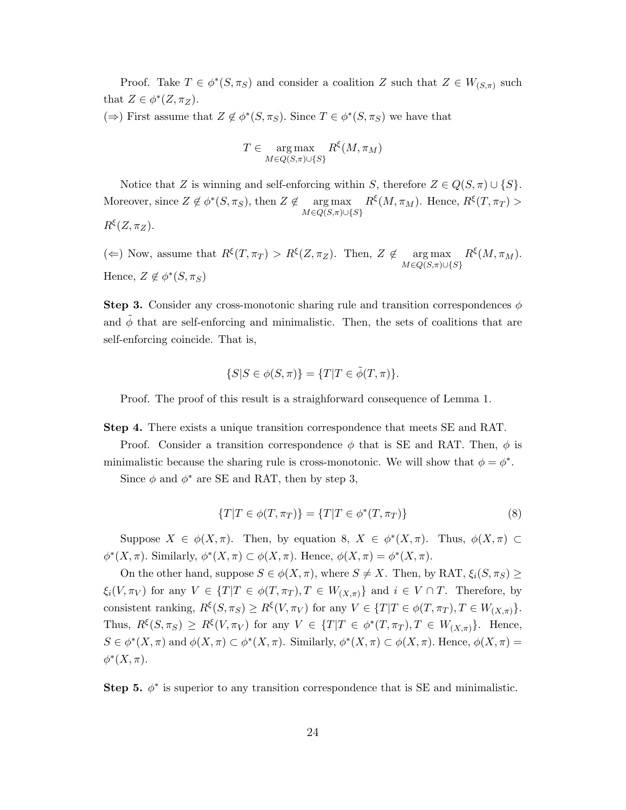Proof. Take  $T \in \phi^*(S, \pi_S)$  and consider a coalition Z such that  $Z \in W_{(S,\pi)}$  such that  $Z \in \phi^*(Z, \pi_Z)$ .

(⇒) First assume that  $Z \notin \phi^*(S, \pi_S)$ . Since  $T \in \phi^*(S, \pi_S)$  we have that

$$
T \in \mathop{\arg\max}_{M \in Q(S,\pi) \cup \{S\}} R^{\xi}(M,\pi_M)
$$

Notice that Z is winning and self-enforcing within S, therefore  $Z \in Q(S, \pi) \cup \{S\}$ . Moreover, since  $Z \notin \phi^*(S, \pi_S)$ , then  $Z \notin \text{arg}\max$  $M \in Q(S, \pi) \cup \{S\}$  $R^{\xi}(M,\pi_M)$ . Hence,  $R^{\xi}(T,\pi_T)$  $R^{\xi}(Z,\pi_Z)$ .

( $\Leftarrow$ ) Now, assume that  $R^{\xi}(T, \pi_T) > R^{\xi}(Z, \pi_Z)$ . Then,  $Z \notin \text{arg max}$  $M \in Q(S, \pi) \cup \{S\}$  $R^{\xi}(M,\pi_M).$ Hence,  $Z \notin \phi^*(S, \pi_S)$ 

**Step 3.** Consider any cross-monotonic sharing rule and transition correspondences  $\phi$ and  $\phi$  that are self-enforcing and minimalistic. Then, the sets of coalitions that are self-enforcing coincide. That is,

$$
\{S|S \in \phi(S,\pi)\} = \{T|T \in \tilde{\phi}(T,\pi)\}.
$$

Proof. The proof of this result is a straighforward consequence of Lemma 1.

Step 4. There exists a unique transition correspondence that meets SE and RAT.

Proof. Consider a transition correspondence  $\phi$  that is SE and RAT. Then,  $\phi$  is minimalistic because the sharing rule is cross-monotonic. We will show that  $\phi = \phi^*$ .

Since  $\phi$  and  $\phi^*$  are SE and RAT, then by step 3,

$$
\{T|T \in \phi(T, \pi_T)\} = \{T|T \in \phi^*(T, \pi_T)\}\tag{8}
$$

Suppose  $X \in \phi(X, \pi)$ . Then, by equation 8,  $X \in \phi^*(X, \pi)$ . Thus,  $\phi(X, \pi) \subset$  $\phi^*(X,\pi)$ . Similarly,  $\phi^*(X,\pi) \subset \phi(X,\pi)$ . Hence,  $\phi(X,\pi) = \phi^*(X,\pi)$ .

On the other hand, suppose  $S \in \phi(X, \pi)$ , where  $S \neq X$ . Then, by RAT,  $\xi_i(S, \pi_S) \geq$  $\xi_i(V, \pi_V)$  for any  $V \in \{T|T \in \phi(T, \pi_T), T \in W_{(X,\pi)}\}$  and  $i \in V \cap T$ . Therefore, by consistent ranking,  $R^{\xi}(S, \pi_S) \geq R^{\xi}(V, \pi_V)$  for any  $V \in \{T | T \in \phi(T, \pi_T), T \in W_{(X,\pi)}\}.$ Thus,  $R^{\xi}(S, \pi_S) \geq R^{\xi}(V, \pi_V)$  for any  $V \in \{T|T \in \phi^*(T, \pi_T), T \in W_{(X,\pi)}\}$ . Hence,  $S \in \phi^*(X, \pi)$  and  $\phi(X, \pi) \subset \phi^*(X, \pi)$ . Similarly,  $\phi^*(X, \pi) \subset \phi(X, \pi)$ . Hence,  $\phi(X, \pi) =$  $\phi^*(X,\pi)$ .

Step 5.  $\phi^*$  is superior to any transition correspondence that is SE and minimalistic.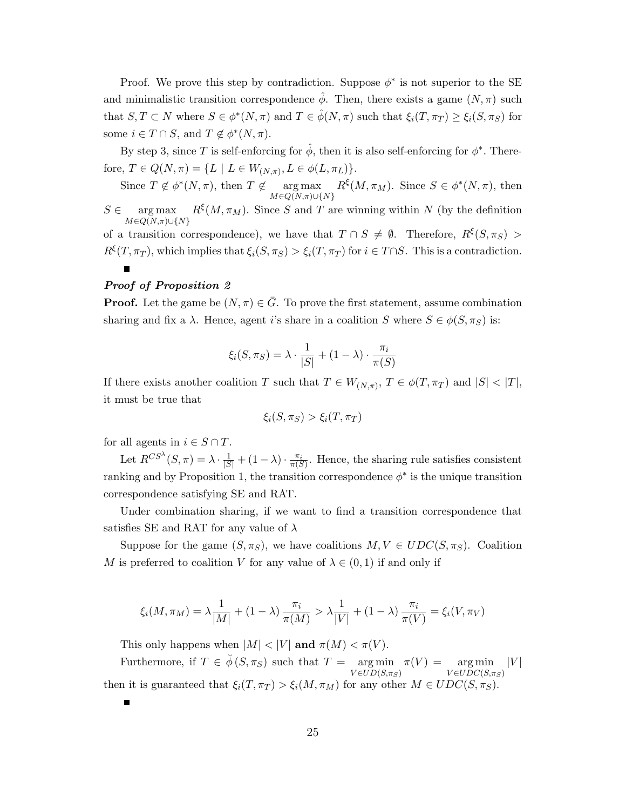Proof. We prove this step by contradiction. Suppose  $\phi^*$  is not superior to the SE and minimalistic transition correspondence  $\phi$ . Then, there exists a game  $(N, \pi)$  such that  $S, T \subset N$  where  $S \in \phi^*(N, \pi)$  and  $T \in \hat{\phi}(N, \pi)$  such that  $\xi_i(T, \pi_T) \geq \xi_i(S, \pi_S)$  for some  $i \in T \cap S$ , and  $T \notin \phi^*(N, \pi)$ .

By step 3, since T is self-enforcing for  $\hat{\phi}$ , then it is also self-enforcing for  $\phi^*$ . Therefore,  $T \in Q(N, \pi) = \{L \mid L \in W_{(N, \pi)}, L \in \phi(L, \pi_L)\}.$ 

Since  $T \notin \phi^*(N, \pi)$ , then  $T \notin \text{arg}\max$  $M \in Q(N,\pi) \cup \{N\}$  $R^{\xi}(M, \pi_M)$ . Since  $S \in \phi^*(N, \pi)$ , then

 $S \in \text{arg max}$   $R^{\xi}(M, \pi_M)$ . Since S and T are winning within N (by the definition  $M \in \overline{Q(N,\pi)} \cup \{N\}$ of a transition correspondence), we have that  $T \cap S \neq \emptyset$ . Therefore,  $R^{\xi}(S, \pi_S)$  $R^{\xi}(T,\pi_T)$ , which implies that  $\xi_i(S,\pi_S) > \xi_i(T,\pi_T)$  for  $i \in T \cap S$ . This is a contradiction.

#### Proof of Proposition 2

**Proof.** Let the game be  $(N, \pi) \in \overline{G}$ . To prove the first statement, assume combination sharing and fix a  $\lambda$ . Hence, agent *i*'s share in a coalition S where  $S \in \phi(S, \pi_S)$  is:

$$
\xi_i(S, \pi_S) = \lambda \cdot \frac{1}{|S|} + (1 - \lambda) \cdot \frac{\pi_i}{\pi(S)}
$$

If there exists another coalition T such that  $T \in W_{(N,\pi)}$ ,  $T \in \phi(T,\pi_T)$  and  $|S| < |T|$ , it must be true that

$$
\xi_i(S, \pi_S) > \xi_i(T, \pi_T)
$$

for all agents in  $i \in S \cap T$ .

Г

Let  $R^{CS^{\lambda}}(S,\pi) = \lambda \cdot \frac{1}{|S|} + (1-\lambda) \cdot \frac{\pi_i}{\pi(S)}$ . Hence, the sharing rule satisfies consistent ranking and by Proposition 1, the transition correspondence  $\phi^*$  is the unique transition correspondence satisfying SE and RAT.

Under combination sharing, if we want to find a transition correspondence that satisfies SE and RAT for any value of  $\lambda$ 

Suppose for the game  $(S, \pi_S)$ , we have coalitions  $M, V \in UDC(S, \pi_S)$ . Coalition M is preferred to coalition V for any value of  $\lambda \in (0,1)$  if and only if

$$
\xi_i(M, \pi_M) = \lambda \frac{1}{|M|} + (1 - \lambda) \frac{\pi_i}{\pi(M)} > \lambda \frac{1}{|V|} + (1 - \lambda) \frac{\pi_i}{\pi(V)} = \xi_i(V, \pi_V)
$$

This only happens when  $|M| < |V|$  and  $\pi(M) < \pi(V)$ .

Furthermore, if  $T \in \check{\phi}(S, \pi_S)$  such that  $T = \arg \min$  $V \in UD(S,\pi_S)$  $\pi(V) = \arg \min$  $V \in UDC(S,\pi_S)$  $|V|$ then it is guaranteed that  $\xi_i(T, \pi_T) > \xi_i(M, \pi_M)$  for any other  $M \in UDC(S, \pi_S)$ .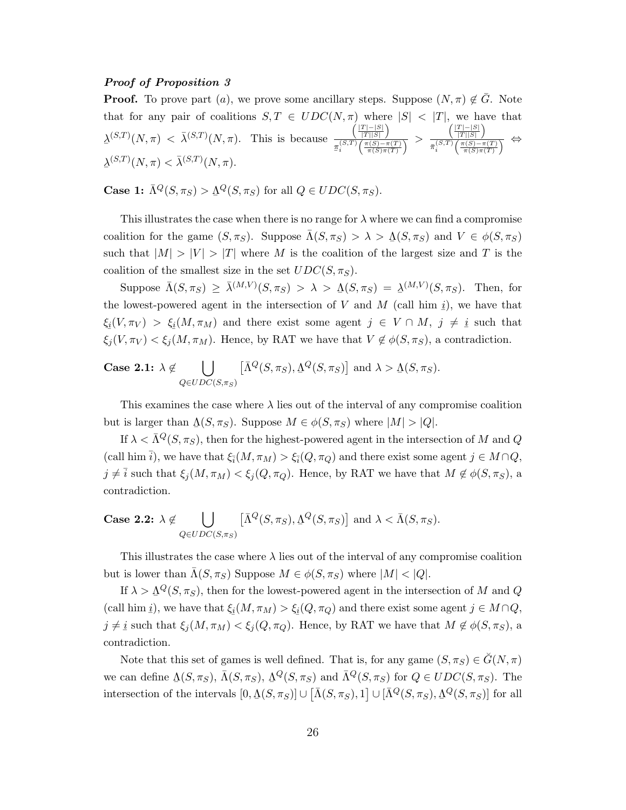#### Proof of Proposition 3

**Proof.** To prove part (a), we prove some ancillary steps. Suppose  $(N, \pi) \notin \overline{G}$ . Note that for any pair of coalitions  $S, T \in UDC(N, \pi)$  where  $|S| < |T|$ , we have that  $\lambda^{(S,T)}(N,\pi) < \bar{\lambda}^{(S,T)}(N,\pi)$ . This is because  $\left(\frac{|T| - |S|}{|T| |S|}\right)$  $\frac{\Gamma(T|S|)}{\pi(S,T)\left(\frac{\pi(S)-\pi(T)}{\pi(S)\pi(T)}\right)}$  $\left(\frac{|T| - |S|}{|T| |S|}\right)$  $\frac{\sqrt{|T||S|}}{\pi_i^{(S,T)}\left(\frac{\pi(S)-\pi(T)}{\pi(S)\pi(T)}\right)} \Leftrightarrow$  $\Delta^{(S,T)}(N,\pi)<\bar{\lambda}^{(S,T)}(N,\pi).$ 

**Case 1:**  $\bar{\Lambda}^Q(S, \pi_S) > \underline{\Lambda}^Q(S, \pi_S)$  for all  $Q \in UDC(S, \pi_S)$ .

This illustrates the case when there is no range for  $\lambda$  where we can find a compromise coalition for the game  $(S, \pi_S)$ . Suppose  $\overline{\Lambda}(S, \pi_S) > \lambda > \underline{\Lambda}(S, \pi_S)$  and  $V \in \phi(S, \pi_S)$ such that  $|M| > |V| > |T|$  where M is the coalition of the largest size and T is the coalition of the smallest size in the set  $UDC(S, \pi_S)$ .

Suppose  $\bar{\Lambda}(S, \pi_S) \geq \bar{\lambda}^{(M,V)}(S, \pi_S) > \lambda > \underline{\Lambda}(S, \pi_S) = \underline{\lambda}^{(M,V)}(S, \pi_S)$ . Then, for the lowest-powered agent in the intersection of V and M (call him  $\underline{i}$ ), we have that  $rac{v}{\sqrt{2}}$  $\xi_i(V, \pi_V) > \xi_i(M, \pi_M)$  and there exist some agent  $j \in V \cap M$ ,  $j \neq i$  such that  $\zeta_j(V,\pi_V) < \zeta_j(M,\pi_M)$ . Hence, by RAT we have that  $V \notin \phi(S,\pi_S)$ , a contradiction.

Case 2.1: 
$$
\lambda \notin \bigcup_{Q \in UDC(S,\pi_S)} [\bar{\Lambda}^Q(S,\pi_S), \underline{\Lambda}^Q(S,\pi_S)]
$$
 and  $\lambda > \underline{\Lambda}(S,\pi_S)$ .

This examines the case where  $\lambda$  lies out of the interval of any compromise coalition but is larger than  $\Delta(S, \pi_S)$ . Suppose  $M \in \phi(S, \pi_S)$  where  $|M| > |Q|$ .

If  $\lambda < \bar{\Lambda}^Q(S, \pi_S)$ , then for the highest-powered agent in the intersection of M and Q (call him  $\bar{i}$ ), we have that  $\xi_{\bar{i}}(M, \pi_M) > \xi_{\bar{i}}(Q, \pi_Q)$  and there exist some agent  $j \in M \cap Q$ ,  $j \neq \overline{i}$  such that  $\xi_j (M, \pi_M) < \xi_j (Q, \pi_Q)$ . Hence, by RAT we have that  $M \notin \phi(S, \pi_S)$ , a contradiction.

Case 2.2: 
$$
\lambda \notin \bigcup_{Q \in UDC(S, \pi_S)} [\bar{\Lambda}^Q(S, \pi_S), \underline{\Lambda}^Q(S, \pi_S)]
$$
 and  $\lambda < \bar{\Lambda}(S, \pi_S)$ .

This illustrates the case where  $\lambda$  lies out of the interval of any compromise coalition but is lower than  $\bar{\Lambda}(S, \pi_S)$  Suppose  $M \in \phi(S, \pi_S)$  where  $|M| < |Q|$ .

If  $\lambda > \Delta^Q(S, \pi_S)$ , then for the lowest-powered agent in the intersection of M and Q (call him *i*), we have that  $\xi_i(M, \pi_M) > \xi_i(Q, \pi_Q)$  and there exist some agent  $j \in M \cap Q$ ,  $j \neq i$  such that  $\xi_j(M, \pi_M) < \xi_j(Q, \pi_Q)$ . Hence, by RAT we have that  $M \not\in \phi(S, \pi_S)$ , a contradiction.

Note that this set of games is well defined. That is, for any game  $(S, \pi_S) \in \tilde{G}(N, \pi)$ we can define  $\Delta(S, \pi_S)$ ,  $\bar{\Lambda}(S, \pi_S)$ ,  $\Delta^Q(S, \pi_S)$  and  $\bar{\Lambda}^Q(S, \pi_S)$  for  $Q \in UDC(S, \pi_S)$ . The  $\sum_{i=1}^{n} \sum_{j=1}^{n} \sum_{j=1}^{n} \sum_{j=1}^{n} \sum_{j=1}^{n} \sum_{j=1}^{n} \sum_{j=1}^{n} \sum_{j=1}^{n} \sum_{j=1}^{n} \sum_{j=1}^{n} \sum_{j=1}^{n} \sum_{j=1}^{n} \sum_{j=1}^{n} \sum_{j=1}^{n} \sum_{j=1}^{n} \sum_{j=1}^{n} \sum_{j=1}^{n} \sum_{j=1}^{n} \sum_{j=1}^{n} \sum_{j=1}^{n} \sum_{j=1}^{n} \sum_{j=1}^{n}$ intersection of the intervals  $[0, \underline{\Lambda}(S, \pi_S)] \cup [\overline{\Lambda}(S, \pi_S), 1] \cup [\overline{\Lambda}^Q(S, \pi_S), \underline{\Lambda}^Q(S, \pi_S)]$  for all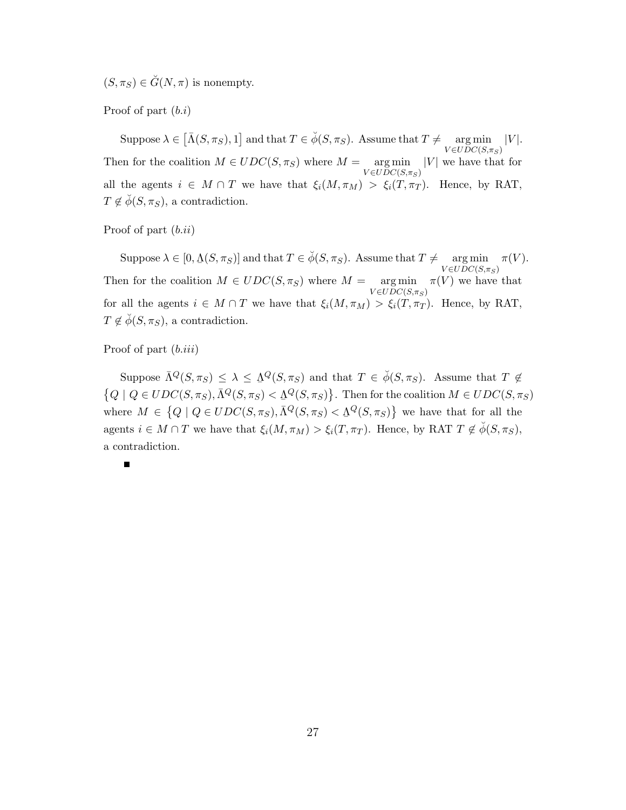$(S, \pi_S) \in \check{G}(N, \pi)$  is nonempty.

Proof of part  $(b.i)$ 

Suppose  $\lambda \in [\bar{\Lambda}(S, \pi_S), 1]$  and that  $T \in \check{\phi}(S, \pi_S)$ . Assume that  $T \neq \text{arg min}$  |V|.  $V \in U\overrightarrow{D}C(S,\pi_S)$ Then for the coalition  $M \in UDC(S, \pi_S)$  where  $M = \arg \min |V|$  we have that for  $V \in UDC(S,\pi_S)$ all the agents  $i \in M \cap T$  we have that  $\xi_i(M, \pi_M) > \xi_i(T, \pi_T)$ . Hence, by RAT,  $T \notin \check{\phi}(S, \pi_S)$ , a contradiction.

Proof of part  $(b.ii)$ 

Suppose  $\lambda \in [0, \Delta(S, \pi_S)]$  and that  $T \in \breve{\phi}(S, \pi_S)$ . Assume that  $T \neq \operatorname*{arg\,min}_{V \in UDC(S, \pi_S)} \pi(V)$ .  $V \in UDC(S,\pi_S)$ Then for the coalition  $M \in UDC(S, \pi_S)$  where  $M = \arg \min \pi(V)$  we have that  $V \in \overline{UDC}(S, \pi_S)$ for all the agents  $i \in M \cap T$  we have that  $\xi_i(M, \pi_M) > \xi_i(T, \pi_T)$ . Hence, by RAT,  $T \notin \check{\phi}(S, \pi_S)$ , a contradiction.

Proof of part  $(b.iii)$ 

Suppose  $\bar{\Lambda}^Q(S, \pi_S) \leq \lambda \leq \Lambda^Q(S, \pi_S)$  and that  $T \in \check{\phi}(S, \pi_S)$ . Assume that  $T \notin$ ¯  $\{Q \mid Q \in UDC(S, \pi_S), \bar{\Lambda}^Q(S, \pi_S) < \bar{\Lambda}^Q(S, \pi_S)\}.$  Then for the coalition  $M \in UDC(S, \pi_S)$ ہے<br> where  $M \in \{Q \mid Q \in UDC(S, \pi_S), \overline{\Lambda}^Q(S, \pi_S) < \underline{\Lambda}^Q(S, \pi_S)\}\$ we have that for all the agents  $i \in M \cap T$  we have that  $\xi_i(M, \pi_M) > \xi_i(T, \pi_T)$ . Hence, by RAT  $T \notin \phi(S, \pi_S)$ , a contradiction.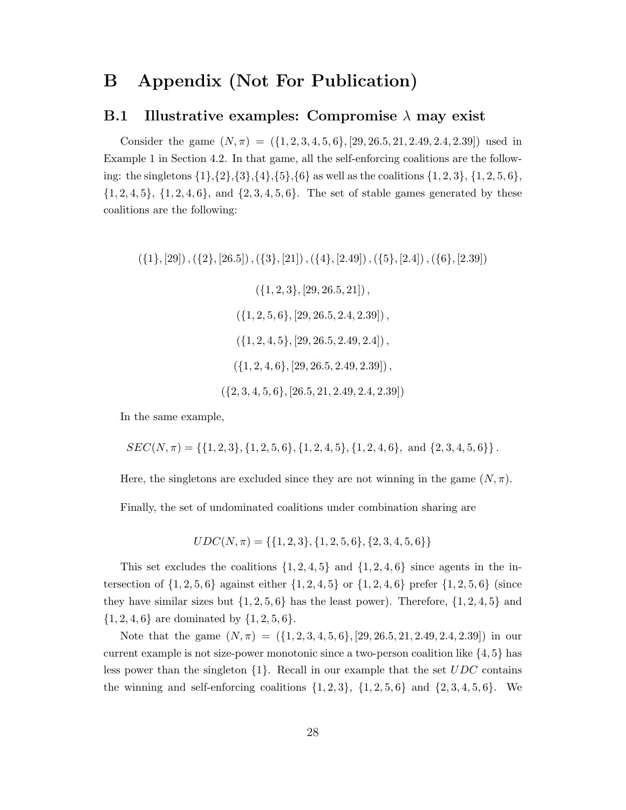# B Appendix (Not For Publication)

### B.1 Illustrative examples: Compromise  $\lambda$  may exist

Consider the game  $(N, \pi) = (\{1, 2, 3, 4, 5, 6\}, [29, 26.5, 21, 2.49, 2.4, 2.39])$  used in Example 1 in Section 4.2. In that game, all the self-enforcing coalitions are the following: the singletons  $\{1\}, \{2\}, \{3\}, \{4\}, \{5\}, \{6\}$  as well as the coalitions  $\{1, 2, 3\}, \{1, 2, 5, 6\}$ ,  $\{1, 2, 4, 5\}, \{1, 2, 4, 6\}, \text{ and } \{2, 3, 4, 5, 6\}.$  The set of stable games generated by these coalitions are the following:

 $({1}, [29], ({2}, [26.5]), ({3}, [21]), ({4}, [2.49]), ({5}, [2.4]), ({6}, [2.39])$ 

 $({1, 2, 3}, [29, 26.5, 21])$ ,  $({1, 2, 5, 6}, {29, 26.5, 2.4, 2.39})$  $({1, 2, 4, 5}, [29, 26.5, 2.49, 2.4])$ .  $({1, 2, 4, 6}, {29, 26.5, 2.49, 2.39})$ ,  $({2, 3, 4, 5, 6}, {26.5, 21, 2.49, 2.4, 2.39})$ 

In the same example,

$$
SEC(N, \pi) = \{ \{1, 2, 3\}, \{1, 2, 5, 6\}, \{1, 2, 4, 5\}, \{1, 2, 4, 6\}, \text{ and } \{2, 3, 4, 5, 6\} \}.
$$

Here, the singletons are excluded since they are not winning in the game  $(N, \pi)$ .

Finally, the set of undominated coalitions under combination sharing are

$$
UDC(N, \pi) = \{\{1, 2, 3\}, \{1, 2, 5, 6\}, \{2, 3, 4, 5, 6\}\}\
$$

This set excludes the coalitions  $\{1, 2, 4, 5\}$  and  $\{1, 2, 4, 6\}$  since agents in the intersection of  $\{1, 2, 5, 6\}$  against either  $\{1, 2, 4, 5\}$  or  $\{1, 2, 4, 6\}$  prefer  $\{1, 2, 5, 6\}$  (since they have similar sizes but  $\{1, 2, 5, 6\}$  has the least power). Therefore,  $\{1, 2, 4, 5\}$  and  $\{1, 2, 4, 6\}$  are dominated by  $\{1, 2, 5, 6\}.$ 

Note that the game  $(N, \pi) = (\{1, 2, 3, 4, 5, 6\}, [29, 26.5, 21, 2.49, 2.4, 2.39])$  in our current example is not size-power monotonic since a two-person coalition like  $\{4, 5\}$  has less power than the singleton  $\{1\}$ . Recall in our example that the set UDC contains the winning and self-enforcing coalitions  $\{1, 2, 3\}$ ,  $\{1, 2, 5, 6\}$  and  $\{2, 3, 4, 5, 6\}$ . We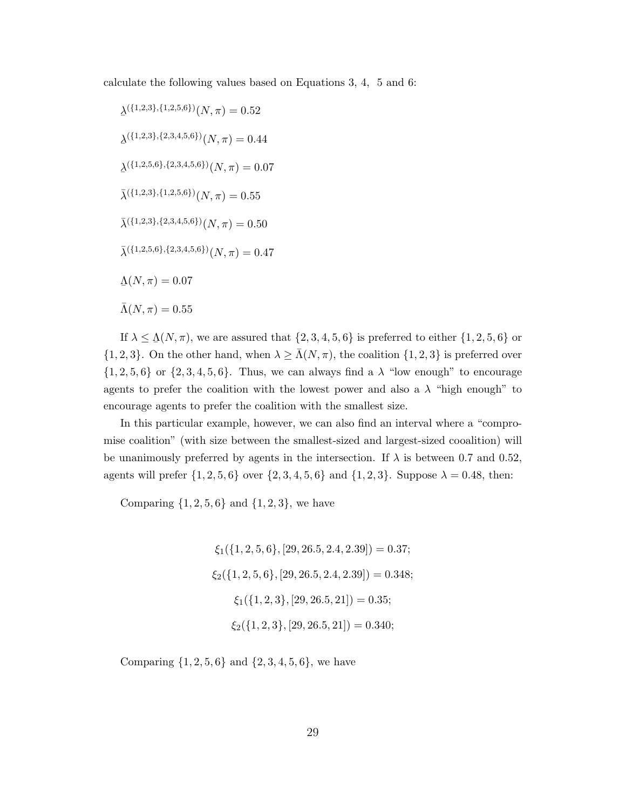calculate the following values based on Equations 3, 4, 5 and 6:

 $\Delta^{(\{1,2,3\},\{1,2,5,6\})}(N,\pi) = 0.52$  $\Delta^{(\{1,2,3\},\{2,3,4,5,6\})}(N,\pi) = 0.44$  $\Delta^{(\{1,2,5,6\},\{2,3,4,5,6\})}(N,\pi) = 0.07$  $\bar{\lambda}^{(\{1,2,3\},\{1,2,5,6\})}(N,\pi) = 0.55$  $\bar{\lambda}^{(\{1,2,3\},\{2,3,4,5,6\})}(N,\pi) = 0.50$  $\bar{\lambda}^{(\{1,2,5,6\},\{2,3,4,5,6\})}(N,\pi) = 0.47$  $\underline{\Lambda}(N,\pi)=0.07$  $\bar{\Lambda}(N,\pi) = 0.55$ 

If  $\lambda \leq \underline{\Lambda}(N, \pi)$ , we are assured that  $\{2, 3, 4, 5, 6\}$  is preferred to either  $\{1, 2, 5, 6\}$  or  $\{1, 2, 3\}$ . On the other hand, when  $\lambda \geq \bar{\Lambda}(N, \pi)$ , the coalition  $\{1, 2, 3\}$  is preferred over  $\{1, 2, 5, 6\}$  or  $\{2, 3, 4, 5, 6\}$ . Thus, we can always find a  $\lambda$  "low enough" to encourage agents to prefer the coalition with the lowest power and also a  $\lambda$  "high enough" to encourage agents to prefer the coalition with the smallest size.

In this particular example, however, we can also find an interval where a "compromise coalition" (with size between the smallest-sized and largest-sized cooalition) will be unanimously preferred by agents in the intersection. If  $\lambda$  is between 0.7 and 0.52, agents will prefer  $\{1, 2, 5, 6\}$  over  $\{2, 3, 4, 5, 6\}$  and  $\{1, 2, 3\}$ . Suppose  $\lambda = 0.48$ , then:

Comparing  $\{1, 2, 5, 6\}$  and  $\{1, 2, 3\}$ , we have

 $\xi_1({1, 2, 5, 6}, [29, 26.5, 2.4, 2.39]) = 0.37;$  $\xi_2$ ({1, 2, 5, 6}, [29, 26.5, 2.4, 2.39]) = 0.348;  $\xi_1({1, 2, 3}, [29, 26.5, 21]) = 0.35;$  $\xi_2$ ({1, 2, 3}, [29, 26.5, 21]) = 0.340;

Comparing  $\{1, 2, 5, 6\}$  and  $\{2, 3, 4, 5, 6\}$ , we have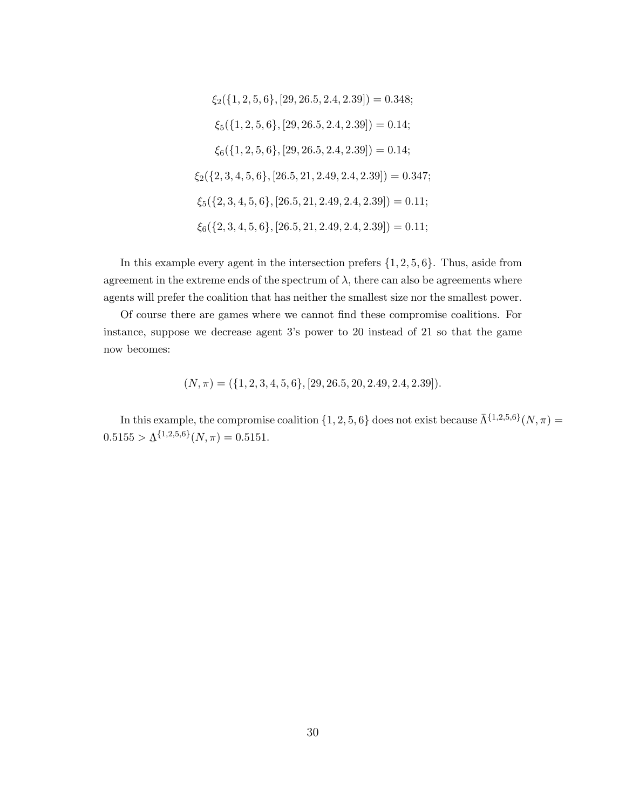$$
\xi_2(\{1, 2, 5, 6\}, [29, 26.5, 2.4, 2.39]) = 0.348;
$$
  
\n
$$
\xi_5(\{1, 2, 5, 6\}, [29, 26.5, 2.4, 2.39]) = 0.14;
$$
  
\n
$$
\xi_6(\{1, 2, 5, 6\}, [29, 26.5, 2.4, 2.39]) = 0.14;
$$
  
\n
$$
\xi_2(\{2, 3, 4, 5, 6\}, [26.5, 21, 2.49, 2.4, 2.39]) = 0.347;
$$
  
\n
$$
\xi_5(\{2, 3, 4, 5, 6\}, [26.5, 21, 2.49, 2.4, 2.39]) = 0.11;
$$
  
\n
$$
\xi_6(\{2, 3, 4, 5, 6\}, [26.5, 21, 2.49, 2.4, 2.39]) = 0.11;
$$

In this example every agent in the intersection prefers  $\{1, 2, 5, 6\}$ . Thus, aside from agreement in the extreme ends of the spectrum of  $\lambda$ , there can also be agreements where agents will prefer the coalition that has neither the smallest size nor the smallest power.

Of course there are games where we cannot find these compromise coalitions. For instance, suppose we decrease agent 3's power to 20 instead of 21 so that the game now becomes:

$$
(N, \pi) = (\{1, 2, 3, 4, 5, 6\}, [29, 26.5, 20, 2.49, 2.4, 2.39]).
$$

In this example, the compromise coalition  $\{1, 2, 5, 6\}$  does not exist because  $\bar{\Lambda}^{\{1,2,5,6\}}(N, \pi)$  $0.5155 > \underline{\Lambda}^{\{1,2,5,6\}}(N,\pi) = 0.5151.$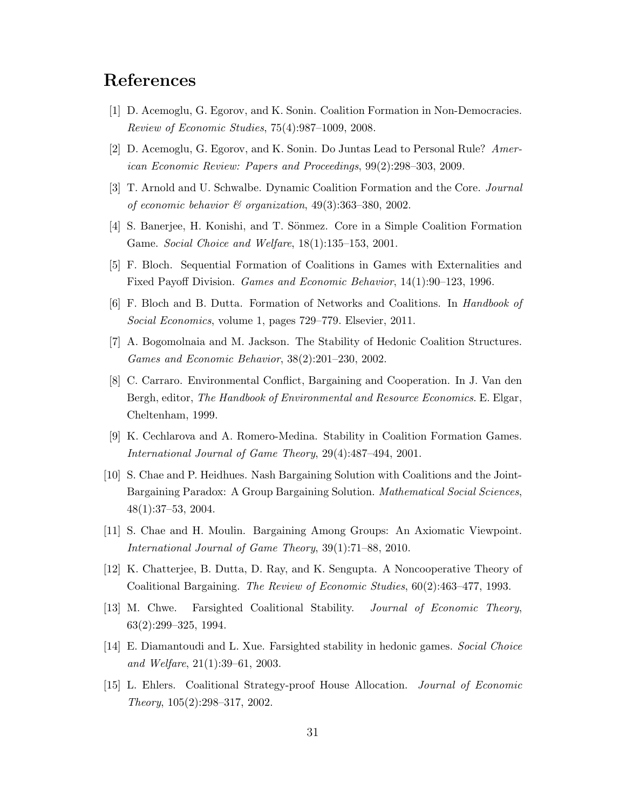# References

- [1] D. Acemoglu, G. Egorov, and K. Sonin. Coalition Formation in Non-Democracies. Review of Economic Studies, 75(4):987–1009, 2008.
- [2] D. Acemoglu, G. Egorov, and K. Sonin. Do Juntas Lead to Personal Rule? American Economic Review: Papers and Proceedings, 99(2):298–303, 2009.
- [3] T. Arnold and U. Schwalbe. Dynamic Coalition Formation and the Core. Journal of economic behavior  $\mathcal C$  organization, 49(3):363-380, 2002.
- [4] S. Banerjee, H. Konishi, and T. Sönmez. Core in a Simple Coalition Formation Game. Social Choice and Welfare, 18(1):135–153, 2001.
- [5] F. Bloch. Sequential Formation of Coalitions in Games with Externalities and Fixed Payoff Division. Games and Economic Behavior, 14(1):90–123, 1996.
- [6] F. Bloch and B. Dutta. Formation of Networks and Coalitions. In Handbook of Social Economics, volume 1, pages 729–779. Elsevier, 2011.
- [7] A. Bogomolnaia and M. Jackson. The Stability of Hedonic Coalition Structures. Games and Economic Behavior, 38(2):201–230, 2002.
- [8] C. Carraro. Environmental Conflict, Bargaining and Cooperation. In J. Van den Bergh, editor, The Handbook of Environmental and Resource Economics. E. Elgar, Cheltenham, 1999.
- [9] K. Cechlarova and A. Romero-Medina. Stability in Coalition Formation Games. International Journal of Game Theory, 29(4):487–494, 2001.
- [10] S. Chae and P. Heidhues. Nash Bargaining Solution with Coalitions and the Joint-Bargaining Paradox: A Group Bargaining Solution. *Mathematical Social Sciences*, 48(1):37–53, 2004.
- [11] S. Chae and H. Moulin. Bargaining Among Groups: An Axiomatic Viewpoint. International Journal of Game Theory, 39(1):71–88, 2010.
- [12] K. Chatterjee, B. Dutta, D. Ray, and K. Sengupta. A Noncooperative Theory of Coalitional Bargaining. The Review of Economic Studies, 60(2):463–477, 1993.
- [13] M. Chwe. Farsighted Coalitional Stability. Journal of Economic Theory, 63(2):299–325, 1994.
- [14] E. Diamantoudi and L. Xue. Farsighted stability in hedonic games. Social Choice and Welfare, 21(1):39–61, 2003.
- [15] L. Ehlers. Coalitional Strategy-proof House Allocation. Journal of Economic Theory, 105(2):298–317, 2002.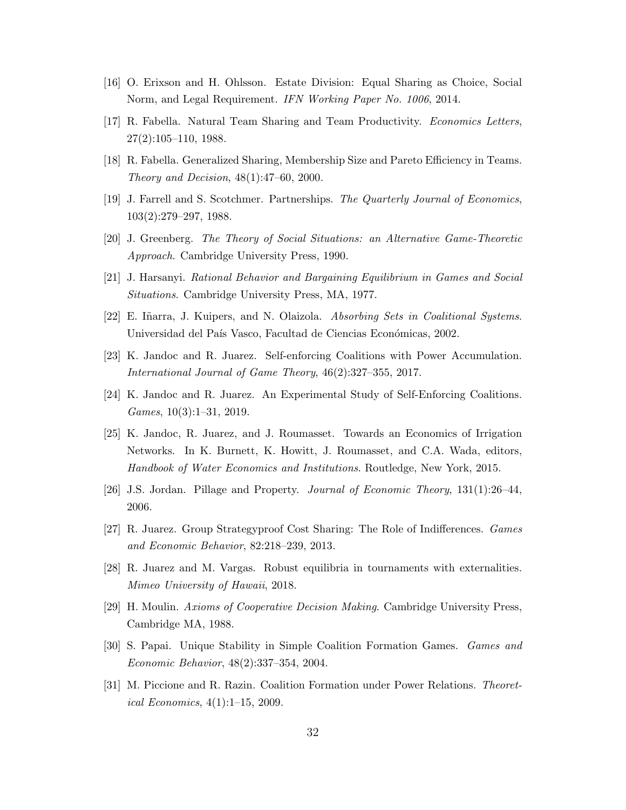- [16] O. Erixson and H. Ohlsson. Estate Division: Equal Sharing as Choice, Social Norm, and Legal Requirement. IFN Working Paper No. 1006, 2014.
- [17] R. Fabella. Natural Team Sharing and Team Productivity. Economics Letters, 27(2):105–110, 1988.
- [18] R. Fabella. Generalized Sharing, Membership Size and Pareto Efficiency in Teams. Theory and Decision, 48(1):47–60, 2000.
- [19] J. Farrell and S. Scotchmer. Partnerships. The Quarterly Journal of Economics, 103(2):279–297, 1988.
- [20] J. Greenberg. The Theory of Social Situations: an Alternative Game-Theoretic Approach. Cambridge University Press, 1990.
- [21] J. Harsanyi. Rational Behavior and Bargaining Equilibrium in Games and Social Situations. Cambridge University Press, MA, 1977.
- [22] E. Iñarra, J. Kuipers, and N. Olaizola. Absorbing Sets in Coalitional Systems. Universidad del País Vasco, Facultad de Ciencias Económicas, 2002.
- [23] K. Jandoc and R. Juarez. Self-enforcing Coalitions with Power Accumulation. International Journal of Game Theory, 46(2):327–355, 2017.
- [24] K. Jandoc and R. Juarez. An Experimental Study of Self-Enforcing Coalitions. Games, 10(3):1–31, 2019.
- [25] K. Jandoc, R. Juarez, and J. Roumasset. Towards an Economics of Irrigation Networks. In K. Burnett, K. Howitt, J. Roumasset, and C.A. Wada, editors, Handbook of Water Economics and Institutions. Routledge, New York, 2015.
- [26] J.S. Jordan. Pillage and Property. Journal of Economic Theory, 131(1):26–44, 2006.
- [27] R. Juarez. Group Strategyproof Cost Sharing: The Role of Indifferences. Games and Economic Behavior, 82:218–239, 2013.
- [28] R. Juarez and M. Vargas. Robust equilibria in tournaments with externalities. Mimeo University of Hawaii, 2018.
- [29] H. Moulin. Axioms of Cooperative Decision Making. Cambridge University Press, Cambridge MA, 1988.
- [30] S. Papai. Unique Stability in Simple Coalition Formation Games. Games and Economic Behavior, 48(2):337–354, 2004.
- [31] M. Piccione and R. Razin. Coalition Formation under Power Relations. Theoretical Economics, 4(1):1–15, 2009.